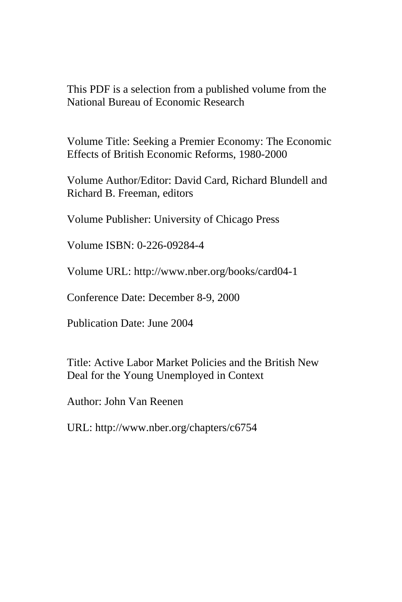This PDF is a selection from a published volume from the National Bureau of Economic Research

Volume Title: Seeking a Premier Economy: The Economic Effects of British Economic Reforms, 1980-2000

Volume Author/Editor: David Card, Richard Blundell and Richard B. Freeman, editors

Volume Publisher: University of Chicago Press

Volume ISBN: 0-226-09284-4

Volume URL: http://www.nber.org/books/card04-1

Conference Date: December 8-9, 2000

Publication Date: June 2004

Title: Active Labor Market Policies and the British New Deal for the Young Unemployed in Context

Author: John Van Reenen

URL: http://www.nber.org/chapters/c6754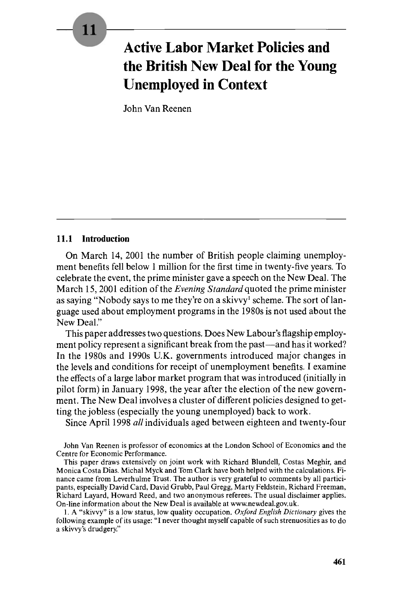# 11

# **Active Labor Market Policies and the British New Deal for the Young Unemployed in Context**

John Van Reenen

# **11.1 Introduction**

On March **14,** 2001 the number of British people claiming unemployment benefits fell below **1** million for the first time in twenty-five years. To celebrate the event, the prime minister gave a speech on the New Deal. The March 15,2001 edition of the *Evening Standard* quoted the prime minister as saying "Nobody says to me they're on a skivvy' scheme. The sort of language used about employment programs in the 1980s is not used about the New Deal."

This paper addresses two questions. Does New Labour's flagship employment policy represent a significant break from the past—and has it worked? In the 1980s and 1990s U.K. governments introduced major changes in the levels and conditions for receipt of unemployment benefits. I examine the effects of a large labor market program that was introduced (initially in pilot form) in January 1998, the year after the election of the new government. The New Deal involves a cluster of different policies designed to getting the jobless (especially the young unemployed) back to work.

Since April 1998 *all* individuals aged between eighteen and twenty-four

John Van Reenen is professor of economics at the London School of Economics and the Centre for Economic Performance.

This paper draws extensively on joint work with Richard Blundell, Costas Meghir, and Monica Costa Dias. Michal Myck and Tom Clark have both helped with the calculations. Finance came from Leverhulme Trust. The author is very grateful to comments by all participants, especially David Card, David Grubb, Paul Gregg, Marty Feldstein, Richard Freeman, Richard Layard, Howard Reed, and two anonymous referees. The usual disclaimer applies. On-line information about the New Deal is available at www.newdeal.gov.uk.

1. **A** "skivvy" is a low status, low quality occupation. *Oxford English Dictionary* gives the following example of its usage: "I never thought myself capable of such strenuosities as to do a skivvy's drudgery."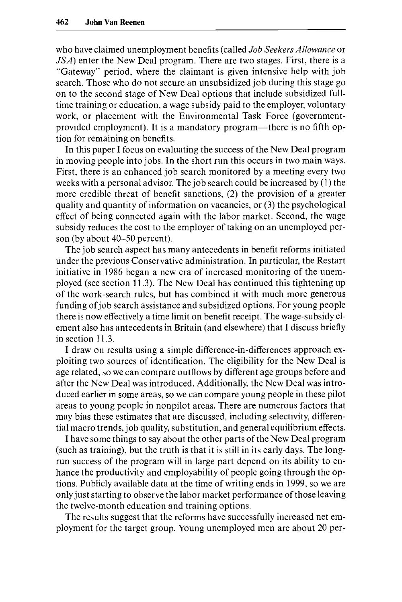who have claimed unemployment benefits (called *Job Seekers Allowance* or *JSA*) enter the New Deal program. There are two stages. First, there is a "Gateway" period, where the claimant is given intensive help with job search. Those who do not secure an unsubsidized job during this stage go on to the second stage of New Deal options that include subsidized fulltime training or education, a wage subsidy paid to the employer, voluntary work, or placement with the Environmental Task Force (governmentprovided employment). It is a mandatory program—there is no fifth option for remaining on benefits.

In this paper I focus on evaluating the success of the New Deal program in moving people into jobs. In the short run this occurs in two main ways. First, there is an enhanced job search monitored by a meeting every two weeks with a personal advisor. The job search could be increased by (1) the more credible threat of benefit sanctions, (2) the provision of a greater quality and quantity of information on vacancies, or *(3)* the psychological effect of being connected again with the labor market. Second, the wage subsidy reduces the cost to the employer of taking on an unemployed person (by about 40-50 percent).

The job search aspect has many antecedents in benefit reforms initiated under the previous Conservative administration. In particular, the Restart initiative in 1986 began a new era of increased monitoring of the unemployed (see section 11.3). The New Deal has continued this tightening up of the work-search rules, but has combined it with much more generous funding of job search assistance and subsidized options. For young people there is now effectively a time limit on benefit receipt. The wage-subsidy element also has antecedents in Britain (and elsewhere) that I discuss briefly in section 11.3.

I draw on results using a simple difference-in-differences approach exploiting two sources of identification. The eligibility for the New Deal is age related, so we can compare outflows by different age groups before and after the New Deal was introduced. Additionally, the New Deal was introduced earlier in some areas, so we can compare young people in these pilot areas to young people in nonpilot areas. There are numerous factors that may bias these estimates that are discussed, including selectivity, differential macro trends, job quality, substitution, and general equilibrium effects.

I have some things to say about the other parts of the New Deal program (such as training), but the truth is that it is still in its early days. The longrun success of the program will in large part depend on its ability to enhance the productivity and employability of people going through the options. Publicly available data at the time of writing ends in 1999, so we are only just starting to observe the labor market performance of those leaving the twelve-month education and training options.

The results suggest that the reforms have successfully increased net employment for the target group. Young unemployed men are about 20 per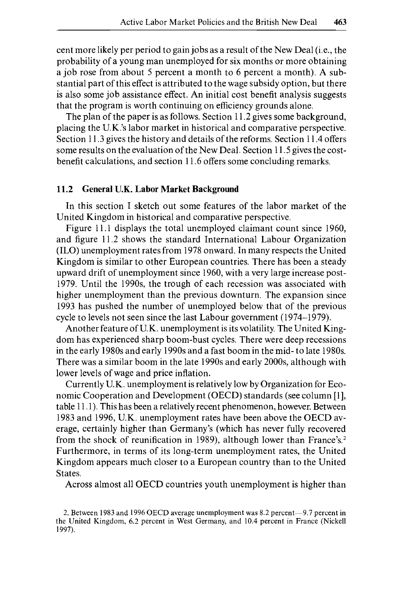cent more likely per period to gain jobs as a result of the New Deal (i.e., the probability of a young man unemployed for six months or more obtaining a job rose from about 5 percent a month to 6 percent a month). A substantial part of this effect is attributed to the wage subsidy option, but there is also some job assistance effect. An initial cost benefit analysis suggests that the program is worth continuing on efficiency grounds alone.

The plan of the paper is as follows. Section 11.2 gives some background, placing the U.K.'s labor market in historical and comparative perspective. Section 11.3 gives the history and details of the reforms. Section 11.4 offers some results on the evaluation of the New Deal. Section 11.5 gives the costbenefit calculations, and section 11.6 offers some concluding remarks.

#### **11.2 General U.K. Labor Market Background**

In this section I sketch out some features of the labor market of the United Kingdom in historical and comparative perspective.

Figure 11.1 displays the total unemployed claimant count since 1960, and figure 11.2 shows the standard International Labour Organization (ILO) unemployment rates from 1978 onward. In many respects the United Kingdom is similar to other European countries. There has been a steady upward drift of unemployment since 1960, with a very large increase post-1979. Until the 199Os, the trough of each recession was associated with higher unemployment than the previous downturn. The expansion since 1993 has pushed the number of unemployed below that of the previous cycle to levels not seen since the last Labour government (1974-1979).

Another feature of U.K. unemployment is its volatility. The United Kingdom has experienced sharp boom-bust cycles. There were deep recessions in the early 1980s and early 1990s and a fast boom in the mid- to late 1980s. There was a similar boom in the late 1990s and early 2000s, although with lower levels of wage and price inflation.

Currently U.K. unemployment is relatively low by Organization for Economic Cooperation and Development (OECD) standards (see column [1], table 11.1). This has been a relatively recent phenomenon, however. Between 1983 and 1996, U.K. unemployment rates have been above the OECD average, certainly higher than Germany's (which has never fully recovered from the shock of reunification in 1989), although lower than France's.<sup>2</sup> Furthermore, in terms of its long-term unemployment rates, the United Kingdom appears much closer to a European country than to the United States.

Across almost all OECD countries youth unemployment is higher than

**<sup>2.</sup>** Between 1983 and 1996 OECD average unemployment was 8.2 percent-9.7 percent in the United Kingdom, 6.2 percent in West Germany, and 10.4 percent in France (Nickell 1997).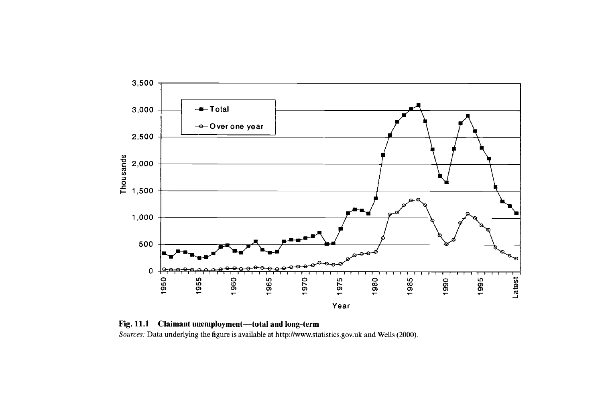

**Fig. 11.1 Claimant unemployment-total and long-term**  *Sources:* Data underlying the figure is available at **http://www.statistics.gov.uk** and **Wells** (2000).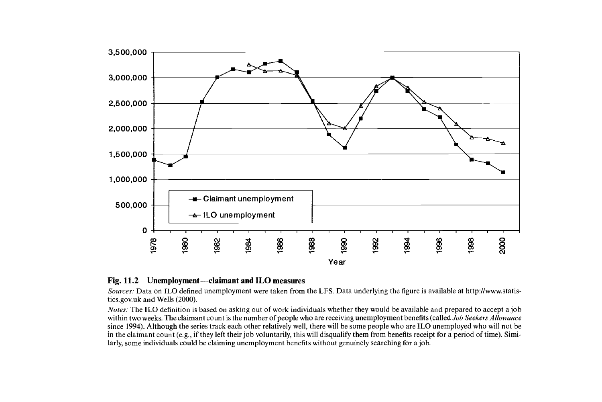

#### Fig. 11.2 Unemployment-claimant and ILO measures

*Sources:* Data on ILO defined unemployment were taken from the **LFS.** Data underlying the figure is available at http://www.statistics.g0v.uk and Wells (2000).

*Notes:* The ILO definition is based on asking out of work individuals whether they would be available and prepared to accept a job within two weeks. The claimant count is the number of people who are receiving unemployment benefits (called *Job Seekers Allowance*  since **1994).** Although the series track each other relatively well, there will be some people who are 1LO unemployed who will not be in the claimant count (e.g., if they left their job voluntarily, this will disqualify them from benefits receipt for a period of time). Similarly, some individuals could be claiming unemployment benefits without genuinely searching for a job.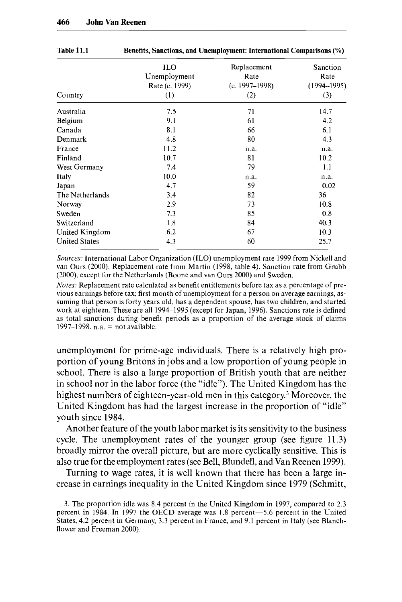| Country              | ILO<br>Unemployment<br>Rate (c. 1999)<br>(1) | Replacement<br>Rate<br>(c. 1997–1998)<br>(2) | Sanction<br>Rate<br>$(1994 - 1995)$<br>(3) |
|----------------------|----------------------------------------------|----------------------------------------------|--------------------------------------------|
| Australia            | 7.5                                          | 71                                           | 14.7                                       |
| Belgium              | 9.1                                          | 61                                           | 4.2                                        |
| Canada               | 8.1                                          | 66                                           | 6.1                                        |
| Denmark              | 4.8                                          | 80                                           | 4.3                                        |
| France               | 11.2                                         | n.a.                                         | n.a.                                       |
| Finland              | 10.7                                         | 81                                           | 10.2                                       |
| West Germany         | 7.4                                          | 79                                           | 1.1                                        |
| Italy                | 10.0                                         | n.a.                                         | n.a.                                       |
| Japan                | 4.7                                          | 59                                           | 0.02                                       |
| The Netherlands      | 3.4                                          | 82                                           | 36                                         |
| Norway               | 2.9                                          | 73                                           | 10.8                                       |
| Sweden               | 7.3                                          | 85                                           | 0.8                                        |
| Switzerland          | 1.8                                          | 84                                           | 40.3                                       |
| United Kingdom       | 6.2                                          | 67                                           | 10.3                                       |
| <b>United States</b> | 4.3                                          | 60                                           | 25.7                                       |

**Table 11.1 Benefits, Sanctions, and Unemployment: International Comparisons (%)** 

*Sources:* International Labor Organization (ILO) unemployment rate 1999 from Nickell and van Ours (2000). Replaccment rate from Martin (1998, table 4). Sanction rate from Grubb (2000), except for the Netherlands (Boone and van Ours 2000) and Sweden.

*Notes:* Replacement rate calculated as benefit entitlements before tax as a percentage of previous earnings before tax; first month of unemployment for a person on average earnings, assuming that person is forty years old, has a dependent spouse, has two children, and started work at eighteen. These are all 1994-1995 (except for Japan, 1996). Sanctions rate is defined as total sanctions during benefit periods as a proportion of the average stock of claims 1997-1998. n.a. = not available.

unemployment for prime-age individuals. There is a relatively high proportion of young Britons in jobs and a low proportion of young people in school. There is also a large proportion of British youth that are neither in school nor in the labor force (the "idle"). The United Kingdom has the highest numbers of eighteen-year-old men in this category.' Moreover, the United Kingdom has had the largest increase in the proportion of "idle" youth since 1984.

Another feature of the youth labor market is its sensitivity to the business cycle. The unemployment rates of the younger group (see figure 11.3) broadly mirror the overall picture, but are more cyclically sensitive. This is also true for the employment rates (see Bell, Blundell, and Van Reenen 1999).

Turning to wage rates, it is well known that there has been a large increase in earnings inequality in the United Kingdom since 1979 (Schmitt,

<sup>3.</sup> The proportion idle was 8.4 percent in the United Kingdom in 1997, compared to 2.3 percent in 1984. In 1997 the OECD average was 1.8 percent-5.6 percent in the United States, 4.2 percent in Germany, 3.3 percent in France, and 9.1 percent in Italy (see Blanchflower and Freeman 2000).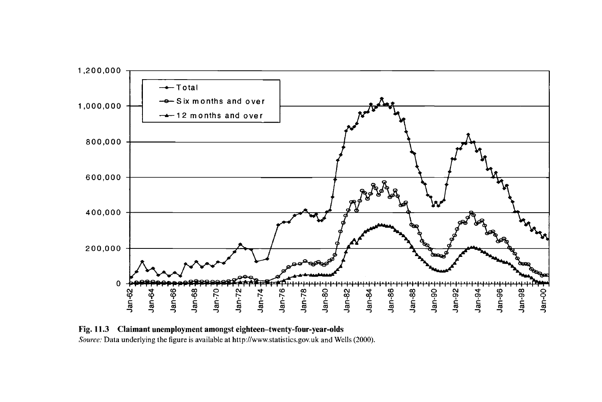

**Fig. 11.3 Claimant unemployment amongst eighteen-twenty-four-year-olds**  *Source:* Data underlying the figure is available at **http://www.statistics.gov.uk** and Wells (2000).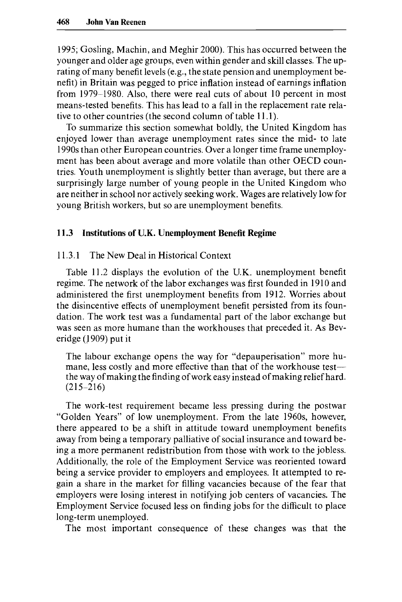1995; Gosling, Machin, and Meghir 2000). This has occurred between the younger and older age groups, even within gender and skill classes. The uprating of many benefit levels (e.g., the state pension and unemployment benefit) in Britain was pegged to price inflation instead of earnings inflation from 1979-1980. Also, there were real cuts of about 10 percent in most means-tested benefits. This has lead to a fall in the replacement rate relative to other countries (the second column of table 11.1).

To summarize this section somewhat boldly, the United Kingdom has enjoyed lower than average unemployment rates since the mid- to late 1990s than other European countries. Over **a** longer time frame unemployment has been about average and more volatile than other OECD countries. Youth unemployment is slightly better than average, but there are a surprisingly large number of young people in the United Kingdom who are neither in school nor actively seeking work. Wages are relatively low for young British workers, but so are unemployment benefits.

#### **11.3 Institutions of U.K. Unemployment Benefit Regime**

11.3.1 The New Deal in Historical Context

Table 11.2 displays the evolution of the U.K. unemployment benefit regime. The network of the labor exchanges was first founded in 1910 and administered the first unemployment benefits from 1912. Worries about the disincentive effects of unemployment benefit persisted from its foundation. The work test was a fundamental part of the labor exchange but was seen as more humane than the workhouses that preceded it. **As** Beveridge (1909) put it

The labour exchange opens the way for "depauperisation" more humane, less costly and more effective than that of the workhouse testthe way of making the finding of work easy instead of making relief hard.  $(215 - 216)$ 

The work-test requirement became less pressing during the postwar "Golden Years" of low unemployment. From the late 1960s, however, there appeared to be a shift in attitude toward unemployment benefits away from being a temporary palliative of social insurance and toward being a more permanent redistribution from those with work to the jobless. Additionally, the role of the Employment Service was reoriented toward being a service provider to employers and employees. It attempted to regain a share in the market for filling vacancies because of the fear that employers were losing interest in notifying job centers of vacancies. The Employment Service focused less on finding jobs for the difficult to place long-term unemployed.

The most important consequence of these changes was that the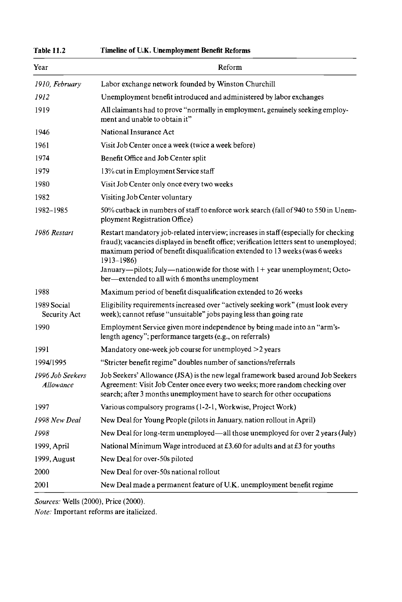| Year                          | Reform                                                                                                                                                                                                                                                                                                                                                             |
|-------------------------------|--------------------------------------------------------------------------------------------------------------------------------------------------------------------------------------------------------------------------------------------------------------------------------------------------------------------------------------------------------------------|
| 1910, February                | Labor exchange network founded by Winston Churchill                                                                                                                                                                                                                                                                                                                |
| 1912                          | Unemployment benefit introduced and administered by labor exchanges                                                                                                                                                                                                                                                                                                |
| 1919                          | All claimants had to prove "normally in employment, genuinely seeking employ-<br>ment and unable to obtain it"                                                                                                                                                                                                                                                     |
| 1946                          | National Insurance Act                                                                                                                                                                                                                                                                                                                                             |
| 1961                          | Visit Job Center once a week (twice a week before)                                                                                                                                                                                                                                                                                                                 |
| 1974                          | Benefit Office and Job Center split                                                                                                                                                                                                                                                                                                                                |
| 1979                          | 13% cut in Employment Service staff                                                                                                                                                                                                                                                                                                                                |
| 1980                          | Visit Job Center only once every two weeks                                                                                                                                                                                                                                                                                                                         |
| 1982                          | Visiting Job Center voluntary                                                                                                                                                                                                                                                                                                                                      |
| 1982-1985                     | 50% cutback in numbers of staff to enforce work search (fall of 940 to 550 in Unem-<br>ployment Registration Office)                                                                                                                                                                                                                                               |
| 1986 Restart                  | Restart mandatory job-related interview; increases in staff (especially for checking<br>fraud); vacancies displayed in benefit office; verification letters sent to unemployed;<br>maximum period of benefit disqualification extended to 13 weeks (was 6 weeks<br>$1913 - 1986$<br>January—pilots; July—nation wide for those with $1 +$ year unemployment; Octo- |
|                               | ber-extended to all with 6 months unemployment                                                                                                                                                                                                                                                                                                                     |
| 1988                          | Maximum period of benefit disqualification extended to 26 weeks                                                                                                                                                                                                                                                                                                    |
| 1989 Social<br>Security Act   | Eligibility requirements increased over "actively seeking work" (must look every<br>week); cannot refuse "unsuitable" jobs paying less than going rate                                                                                                                                                                                                             |
| 1990                          | Employment Service given more independence by being made into an "arm's-<br>length agency"; performance targets (e.g., on referrals)                                                                                                                                                                                                                               |
| 1991                          | Mandatory one-week job course for unemployed >2 years                                                                                                                                                                                                                                                                                                              |
| 1994/1995                     | "Stricter benefit regime" doubles number of sanctions/referrals                                                                                                                                                                                                                                                                                                    |
| 1996 Job Seekers<br>Allowance | Job Seekers' Allowance (JSA) is the new legal framework based around Job Seekers<br>Agreement: Visit Job Center once every two weeks; more random checking over<br>search; after 3 months unemployment have to search for other occupations                                                                                                                        |
| 1997                          | Various compulsory programs (1-2-1, Workwise, Project Work)                                                                                                                                                                                                                                                                                                        |
| 1998 New Deal                 | New Deal for Young People (pilots in January, nation rollout in April)                                                                                                                                                                                                                                                                                             |
| 1998                          | New Deal for long-term unemployed—all those unemployed for over 2 years (July)                                                                                                                                                                                                                                                                                     |
| 1999, April                   | National Minimum Wage introduced at £3.60 for adults and at £3 for youths                                                                                                                                                                                                                                                                                          |
| 1999, August                  | New Deal for over-50s piloted                                                                                                                                                                                                                                                                                                                                      |
| 2000                          | New Deal for over-50s national rollout                                                                                                                                                                                                                                                                                                                             |
| 2001                          | New Deal made a permanent feature of U.K. unemployment benefit regime                                                                                                                                                                                                                                                                                              |

*Sources:* Wells (2000), Price (2000).

*Note;* Important reforms are italicized.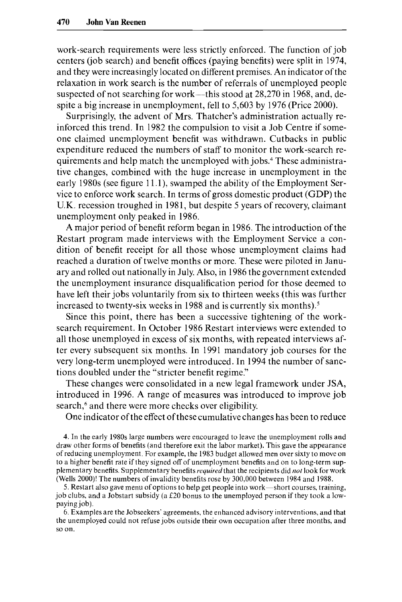work-search requirements were less strictly enforced. The function of job centers (job search) and benefit offices (paying benefits) were split in 1974, and they were increasingly located on different premises. An indicator of the relaxation in work search is the number of referrals of unemployed people suspected of not searching for work—this stood at 28,270 in 1968, and, despite a big increase in unemployment, fell to 5,603 by 1976 (Price 2000).

Surprisingly, the advent of Mrs. Thatcher's administration actually reinforced this trend. In 1982 the compulsion to visit a Job Centre if someone claimed unemployment benefit was withdrawn. Cutbacks in public expenditure reduced the numbers of staff to monitor the work-search requirements and help match the unemployed with jobs.4 These administrative changes, combined with the huge increase in unemployment in the early 1980s (see figure 11.1), swamped the ability of the Employment Service to enforce work search. In terms of gross domestic product (GDP) the U.K. recession troughed in 1981, but despite 5 years of recovery, claimant unemployment only peaked in 1986.

A major period of benefit reform began in 1986. The introduction of the Restart program made interviews with the Employment Service a condition of benefit receipt for all those whose unemployment claims had reached a duration of twelve months or more. These were piloted in January and rolled out nationally in July. Also, in 1986 the government extended the unemployment insurance disqualification period for those deemed to have left their jobs voluntarily from six to thirteen weeks (this was further increased to twenty-six weeks in 1988 and is currently six months). $5$ 

Since this point, there has been a successive tightening of the worksearch requirement. In October 1986 Restart interviews were extended to all those unemployed in excess of six months, with repeated interviews after every subsequent six months. In 1991 mandatory job courses for the very long-term unemployed were introduced. In 1994 the number of sanctions doubled under the "stricter benefit regime."

These changes were consolidated in a new legal framework under JSA, introduced in 1996. A range of measures was introduced to improve job search,<sup>6</sup> and there were more checks over eligibility.

One indicator of the effect of these cumulative changes has been to reduce

4. In the early 1980s large numbers were encouraged to leave the unemployment rolls and draw other forms of benefits (and therefore exit the labor market). This gave the appearance of reducing unemployment. For example, the 1983 budget allowed men over sixty to move on to a higher benefit rate if they signed *off* of unemployment benefits and on to long-term supplementary benefits. Supplementary benefits *required* that the recipients did *nol* look for work (Wells *2000)!* The numbers of invalidity benefits rose by 300,000 between 1984 and 1988.

*5.* Restart also gave menu of options to help get people into work-short courses, training, job clubs, and a Jobstart subsidy (a f20 bonus to the unemployed person if they took a lowpaying job).

6. Examples are the Jobseekers' agreements, the enhanced advisory interventions, and that the unemployed could not refuse jobs outside their own occupation after three months. and so on.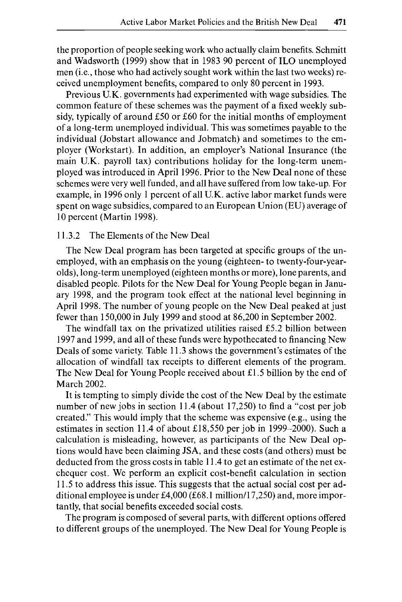the proportion of people seeking work who actually claim benefits. Schmitt and Wadsworth (1999) show that in 1983 90 percent of ILO unemployed men (i.e., those who had actively sought work within the last two weeks) received unemployment benefits, compared to only 80 percent in 1993.

Previous U.K. governments had experimented with wage subsidies. The common feature of these schemes was the payment of a fixed weekly subsidy, typically of around £50 or £60 for the initial months of employment of a long-term unemployed individual. This was sometimes payable to the individual (Jobstart allowance and Jobmatch) and sometimes to the employer (Workstart). In addition, an employer's National Insurance (the main U.K. payroll tax) contributions holiday for the long-term unemployed was introduced in April 1996. Prior to the New Deal none of these schemes were very well funded, and all have suffered from low take-up. For example, in 1996 only 1 percent of all U.K. active labor market funds were spent on wage subsidies, compared to an European Union (EU) average of 10 percent (Martin 1998).

## 11.3.2 The Elements of the New Deal

The New Deal program has been targeted at specific groups of the unemployed, with an emphasis on the young (eighteen- to twenty-four-yearolds), long-term unemployed (eighteen months or more), lone parents, and disabled people. Pilots for the New Deal for Young People began in January 1998, and the program took effect at the national level beginning in April 1998. The number of young people on the New Deal peaked at just fewer than 150,000 in July 1999 and stood at 86,200 in September 2002.

The windfall tax on the privatized utilities raised  $£5.2$  billion between 1997 and 1999, and all of these funds were hypothecated to financing New Deals of some variety. Table 11.3 shows the government's estimates of the allocation of windfall tax receipts to different elements of the program. The New Deal for Young People received about E1.5 billion by the end of March 2002.

It is tempting to simply divide the cost of the New Deal by the estimate number of new jobs in section 11.4 (about 17,250) to find a "cost per job created." This would imply that the scheme was expensive (e.g., using the estimates in section 11.4 of about E18,550 per job in 1999-2000). Such a calculation is misleading, however, as participants of the New Deal options would have been claiming JSA, and these costs (and others) must be deducted from the gross costs in table 11.4 to get an estimate of the net exchequer cost. We perform an explicit cost-benefit calculation in section 11.5 to address this issue. This suggests that the actual social cost per additional employee is under E4,OOO (E68.1 million/l7,250) and, more importantly, that social benefits exceeded social costs.

The program is composed of several parts, with different options offered to different groups of the unemployed. The New Deal for Young People is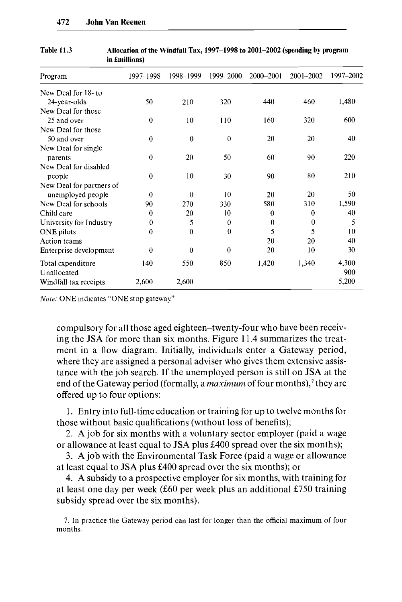| Program                  | 1997–1998 | 1998-1999 | 1999-2000 | 2000-2001 | 2001-2002 | 1997-2002 |
|--------------------------|-----------|-----------|-----------|-----------|-----------|-----------|
| New Deal for 18- to      |           |           |           |           |           |           |
| 24-year-olds             | 50        | 210       | 320       | 440       | 460       | 1,480     |
| New Deal for those       |           |           |           |           |           |           |
| 25 and over              | $\theta$  | 10        | 110       | 160       | 320       | 600       |
| New Deal for those       |           |           |           |           |           |           |
| 50 and over              | $\theta$  | $\theta$  | $\Omega$  | 20        | 20        | 40        |
| New Deal for single      |           |           |           |           |           |           |
| parents                  | $\theta$  | 20        | 50        | 60        | 90        | 220       |
| New Deal for disabled    |           |           |           |           |           |           |
| people                   | $\theta$  | 10        | 30        | 90        | 80        | 210       |
| New Deal for partners of |           |           |           |           |           |           |
| unemployed people        | 0         | $\Omega$  | 10        | 20        | 20        | 50        |
| New Deal for schools     | 90        | 270       | 330       | 580       | 310       | 1,590     |
| Child care               | $\bf{0}$  | 20        | 10        | $\bf{0}$  | $\theta$  | 40        |
| University for Industry  | $\theta$  | 5         | $\theta$  | $\bf{0}$  | $\theta$  | 5         |
| ONE pilots               | $\theta$  | $\theta$  | $\bf{0}$  | 5         | 5         | 10        |
| Action teams             |           |           |           | 20        | 20        | 40        |
| Enterprise development   | $\theta$  | $\theta$  | $\bf{0}$  | 20        | 10        | 30        |
| Total expenditure        | 140       | 550       | 850       | 1,420     | 1,340     | 4,300     |
| Unallocated              |           |           |           |           |           | 900       |
| Windfall tax receipts    | 2,600     | 2,600     |           |           |           | 5,200     |

**Table 11.3 Allocation of the Windfall Tax, 1997-1998 to 2001-2002 (spending by program in fmillions)** 

*Note:* ONE indicates "ONE stop gateway."

compulsory for all those aged eighteen-twenty-four who have been receiving the **JSA** for more than six months. Figure 11.4 summarizes the treatment in a flow diagram. Initially, individuals enter a Gateway period, where they are assigned a personal adviser who gives them extensive assistance with the job search. If the unemployed person is still on **JSA** at the end of the Gateway period (formally, a *maximum* of four months),<sup>7</sup> they are offered up to four options:

1. Entry into full-time education or training for up to twelve months for those without basic qualifications (without loss of benefits);

2. **A** job for six months with a voluntary sector employer (paid a wage or allowance at least equal to **JSA** plus E400 spread over the six months);

*3.* **A** job with the Environmental Task Force (paid a wage or allowance at least equal to **JSA** plus E400 spread over the six months); or

4. **A** subsidy to a prospective employer for six months, with training for at least one day per week (E60 per week plus an additional E750 training subsidy spread over the six months).

7. In practice the Gateway period can last for longer than the official maximum of four months.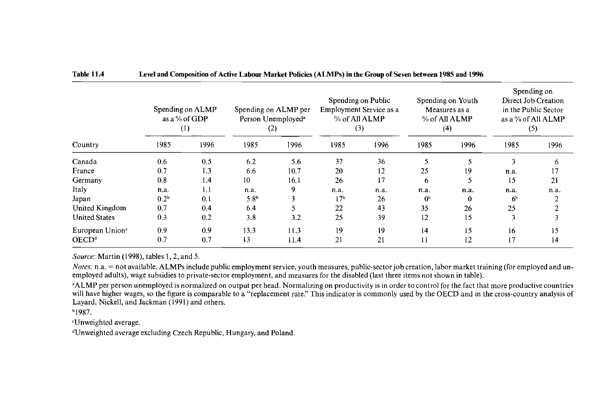#### **Table 11.4 Level and Composition of Active Labour Market Policies (ALMPs) in the Group of Seven between 1985 and 1996**

|                             |                  | Spending on ALMP<br>as a % of GDP<br>$\left(1\right)$ |                  | Spending on ALMP per<br>Person Unemployed <sup>a</sup><br>(2) |                 | Spending on Public<br>Employment Service as a<br>% of All ALMP<br>(3) |                | Spending on Youth<br>Measures as a<br>% of All ALMP<br>(4) |                | Spending on<br>Direct Job Creation<br>in the Public Sector<br>as a % of All ALMP<br>(5) |
|-----------------------------|------------------|-------------------------------------------------------|------------------|---------------------------------------------------------------|-----------------|-----------------------------------------------------------------------|----------------|------------------------------------------------------------|----------------|-----------------------------------------------------------------------------------------|
| Country                     | 1985             | 1996                                                  | 1985             | 1996                                                          | 1985            | 1996                                                                  | 1985           | 1996                                                       | 1985           | 1996                                                                                    |
| Canada                      | 0.6              | 0.5                                                   | 6.2              | 5.6                                                           | 37              | 36                                                                    |                |                                                            |                | 6                                                                                       |
| France                      | 0.7              | 1.3                                                   | 6.6              | 10.7                                                          | 20              | 12                                                                    | 25             | 19                                                         | n.a.           | 17                                                                                      |
| Germany                     | 0.8              | 1.4                                                   | 10               | 16.1                                                          | 26              | 17                                                                    | 6              | 5                                                          | 15             | 21                                                                                      |
| Italy                       | n.a.             | 1.1                                                   | n.a.             | 9                                                             | n.a.            | n.a.                                                                  | n.a.           | n.a.                                                       | n.a.           | n.a.                                                                                    |
| Japan                       | 0.2 <sup>b</sup> | 0.1                                                   | 5.8 <sup>b</sup> |                                                               | 17 <sup>b</sup> | 26                                                                    | 0 <sup>b</sup> | 0                                                          | 6 <sup>b</sup> |                                                                                         |
| United Kingdom              | 0.7              | 0.4                                                   | 6.4              |                                                               | 22              | 43                                                                    | 35             | 26                                                         | 25             |                                                                                         |
| <b>United States</b>        | 0.3              | 0.2                                                   | 3.8              | 3.2                                                           | 25              | 39                                                                    | 12             | 15                                                         | 3              |                                                                                         |
| European Union <sup>e</sup> | 0.9              | 0.9                                                   | 13.3             | 11.3                                                          | 19              | 19                                                                    | 4              | 15                                                         | 16             | 15                                                                                      |
| OECD <sup>d</sup>           | 0.7              | 0.7                                                   | 13               | 11.4                                                          | 21              | 21                                                                    | Н              | 12                                                         | 17             | 14                                                                                      |

*Source:* Martin (1998), tables 1, 2, and 5.

*Notes:* n.a. = not available. ALMPs include public employment service, youth measures, public-sector job creation, labor market training (for employed and unemployed adults), wage subsidies to private-sector employment, and measures for the disabled (last three items not shown in table).

<sup>a</sup>ALMP per person unemployed is normalized on output per head. Normalizing on productivity is in order to control for the fact that more productive countries will have higher wages, so the figure is comparable to a "replacement rate." This indicator is commonly used by the OECD and in the cross-country analysis of Layard, Nickell, and Jackman (1991) and others.

b1987.

'Unweighted average.

 $d$ Unweighted average excluding Czech Republic, Hungary, and Poland.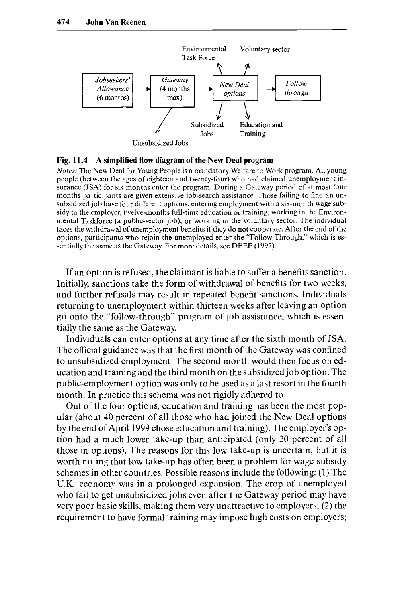

#### Fig. 11.4 A simplified flow diagram of the New Deal program

Notes: The New Deal for Young People is a mandatory Welfare to Work program. All young people (between the ages of eighteen and twenty-four) who had claimed unemployment insurance (JSA) for six months enter the program. During a Gateway period of at most four months participants are given extensive job-search assistance. Those failing to find an unsubsidized job have four different options: entering employment with a six-month wage subsidy to the employer, twelve-months full-time education or training, working in the Environmental Taskforce (a public-sector job), or working in the voluntary sector. The individual faces the withdrawal of unemployment benefits if they do not cooperate. After the end of the options, participants who rejoin the unemployed enter the "Follow Through," which is essentially the same as the Gateway. For more details, see DFEE (1997).

If an option is refused, the claimant is liable to suffer a benefits sanction. Initially, sanctions take the form of withdrawal of benefits for two weeks, and further refusals may result in repeated benefit sanctions. Individuals returning to unemployment within thirteen weeks after leaving an option go onto the "follow-through'' program of job assistance, which is essentially the same as the Gateway.

Individuals can enter options at any time after the sixth month of **JSA**. The official guidance was that the first month of the Gateway was confined to unsubsidized employment. The second month would then focus on education and training and the third month on the subsidized job option. The public-employment option was only to be used as a last resort in the fourth month. In practice this schema was not rigidly adhered to.

Out of the four options, education and training has been the most popular (about 40 percent of all those who had joined the New Deal options by the end of April 1999 chose education and training). The employer's option had a much lower take-up than anticipated (only 20 percent of all those in options). The reasons for this low take-up is uncertain, but it is worth noting that low take-up has often been a problem for wage-subsidy schemes in other countries. Possible reasons include the following: (1) The U.K. economy was in a prolonged expansion. The crop of unemployed who fail to get unsubsidized jobs even after the Gateway period may have very poor basic skills, making them very unattractive to employers; (2) the requirement to have formal training may impose high costs on employers;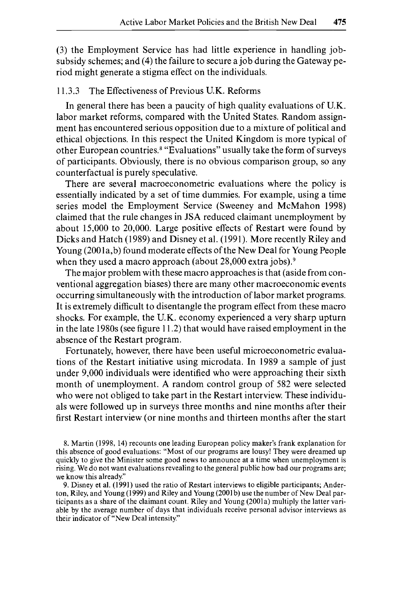(3) the Employment Service has had little experience in handling jobsubsidy schemes; and **(4)** the failure to secure a job during the Gateway period might generate a stigma effect on the individuals.

# 11.3.3 The Effectiveness of Previous U.K. Reforms

In general there has been a paucity of high quality evaluations of U.K. labor market reforms, compared with the United States. Random assignment has encountered serious opposition due to a mixture of political and ethical objections. In this respect the United Kingdom is more typical of other European countries.<sup>8</sup> "Evaluations" usually take the form of surveys of participants. Obviously, there is no obvious comparison group, so any counterfactual is purely speculative.

There are several macroeconometric evaluations where the policy is essentially indicated by a set of time dummies. For example, using a time series model the Employment Service (Sweeney and McMahon 1998) claimed that the rule changes in **JSA** reduced claimant unemployment by about 15,000 to 20,000. Large positive effects of Restart were found by Dicks and Hatch (1989) and Disney et al. (1991). More recently Riley and Young (2001a,b) found moderate effects of the New Deal for Young People when they used a macro approach (about 28,000 extra jobs).<sup>9</sup>

The major problem with these macro approaches is that (aside from conventional aggregation biases) there are many other macroeconomic events occurring simultaneously with the introduction of labor market programs. It is extremely difficult to disentangle the program effect from these macro shocks. For example, the U.K. economy experienced a very sharp upturn in the late 1980s (see figure 11.2) that would have raised employment in the absence of the Restart program.

Fortunately, however, there have been useful microeconometric evaluations of the Restart initiative using microdata. In 1989 a sample of just under 9,000 individuals were identified who were approaching their sixth month of unemployment. **A** random control group of 582 were selected who were not obliged to take part in the Restart interview. These individuals were followed up in surveys three months and nine months after their first Restart interview (or nine months and thirteen months after the start

8. Martin (1998, 14) recounts one leading European policy maker's frank explanation for this absence of good evaluations: "Most of our programs are lousy! They were dreamed up quickly to give the Minister some good news to announce at a time when unemployment is rising. We do not want evaluations revealing to the general public how bad our programs are; we know this already."

9. Disney et al. (1991) used the ratio of Restart interviews to eligible participants; Anderton, Riley, and Young (1999) and Riley and Young (2001b) use the number of New Deal participants as a share of the claimant count. Riley and Young (2001a) multiply the latter variable by the average number of days that individuals receive personal advisor interviews as their indicator of "New Deal intensity."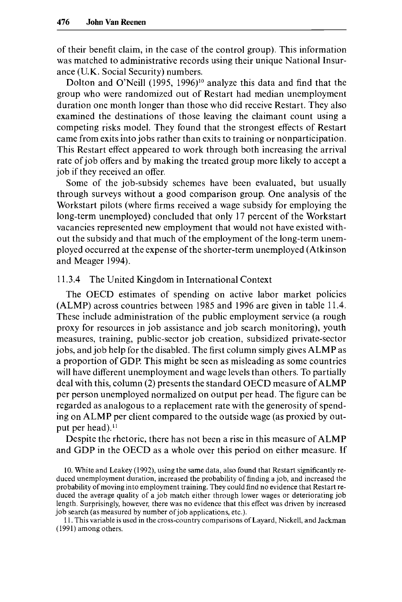of their benefit claim, in the case of the control group). This information was matched to administrative records using their unique National Insurance (U.K. Social Security) numbers.

Dolton and O'Neill (1995, 1996)<sup>10</sup> analyze this data and find that the group who were randomized out of Restart had median unemployment duration one month longer than those who did receive Restart. They also examined the destinations of those leaving the claimant count using a competing risks model. They found that the strongest effects of Restart came from exits into jobs rather than exits to training or nonparticipation. This Restart effect appeared to work through both increasing the arrival rate of job offers and by making the treated group more likely to accept a job if they received an offer.

Some of the job-subsidy schemes have been evaluated, but usually through surveys without a good comparison group. One analysis of the Workstart pilots (where firms received a wage subsidy for employing the long-term unemployed) concluded that only 17 percent of the Workstart vacancies represented new employment that would not have existed without the subsidy and that much of the employment of the long-term unemployed occurred at the expense of the shorter-term unemployed (Atkinson and Meager 1994).

#### 11.3.4 The United Kingdom in International Context

The OECD estimates of spending on active labor market policies (ALMP) across countries between 1985 and 1996 are given in table 11.4. These include administration of the public employment service (a rough proxy for resources in job assistance and job search monitoring), youth measures, training, public-sector job creation, subsidized private-sector jobs, and job help for the disabled. The first column simply gives ALMP as a proportion of GDP. This might be seen as misleading as some countries will have different unemployment and wage levels than others. To partially deal with this, column **(2)** presents the standard OECD measure of ALMP per person unemployed normalized on output per head. The figure can be regarded as analogous to a replacement rate with the generosity of spending on ALMP per client compared to the outside wage (as proxied by output per head).<sup>11</sup>

Despite the rhetoric, there has not been a rise in this measure of ALMP and GDP in the OECD as a whole over this period on either measure. If

10. White and Leakey (1992), using the same data, also found that Restart significantly reduced unemployment duration, increased the probability of finding a job, and increased the probability of moving into employment training. They could find no evidence that Restart reduced the average quality of a job match either through lower wages or deteriorating job length. Surprisingly, however, there was no evidence that this effect was driven by increased job search (as measured by number of job applications, etc.).

1 1. This variable is used in the cross-country comparisons of Layard, Nickell, and Jackman (1991) among others.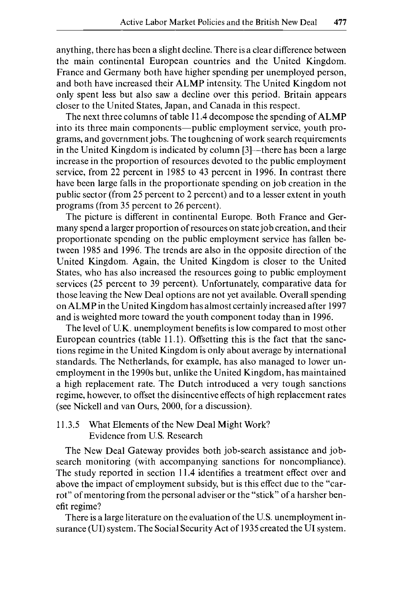anything, there has been a slight decline. There is a clear difference between the main continental European countries and the United Kingdom. France and Germany both have higher spending per unemployed person, and both have increased their ALMP intensity. The United Kingdom not only spent less but also saw a decline over this period. Britain appears closer to the United States, Japan, and Canada in this respect.

The next three columns of table 1 1.4 decompose the spending of **ALMP**  into its three main components—public employment service, youth programs, and government jobs. The toughening of work search requirements in the United Kingdom is indicated by column [3]—there has been a large increase in the proportion of resources devoted to the public employment service, from 22 percent in 1985 to 43 percent in 1996. In contrast there have been large falls in the proportionate spending on job creation in the public sector (from *25* percent to 2 percent) and to a lesser extent in youth programs (from 35 percent to 26 percent).

The picture is different in continental Europe. Both France and Germany spend a larger proportion of resources on state job creation, and their proportionate spending on the public employment service has fallen between 1985 and 1996. The trends are also in the opposite direction of the United Kingdom. Again, the United Kingdom is closer to the United States, who has also increased the resources going to public employment services (25 percent to 39 percent). Unfortunately, comparative data for those leaving the New Deal options are not yet available. Overall spending on ALMP in the United Kingdom has almost certainly increased after 1997 and is weighted more toward the youth component today than in 1996.

The level of U.K. unemployment benefits is low compared to most other European countries (table 11.1). Offsetting this is the fact that the sanctions regime in the United Kingdom is only about average by international standards. The Netherlands, for example, has also managed to lower unemployment in the 1990s but, unlike the United Kingdom, has maintained a high replacement rate. The Dutch introduced a very tough sanctions regime, however, to offset the disincentive effects of high replacement rates (see Nickell and van Ours, 2000, for a discussion).

## 11.3.5 What Elements of the New Deal Might Work? Evidence from U.S. Research

The New Deal Gateway provides both job-search assistance and jobsearch monitoring (with accompanying sanctions for noncompliance). The study reported in section 11.4 identifies a treatment effect over and above the impact of employment subsidy, but is this effect due to the "carrot" of mentoring from the personal adviser or the "stick" of a harsher benefit regime?

There is a large literature on the evaluation of the US. unemployment insurance (UI) system. The Social Security Act of 1935 created the UI system.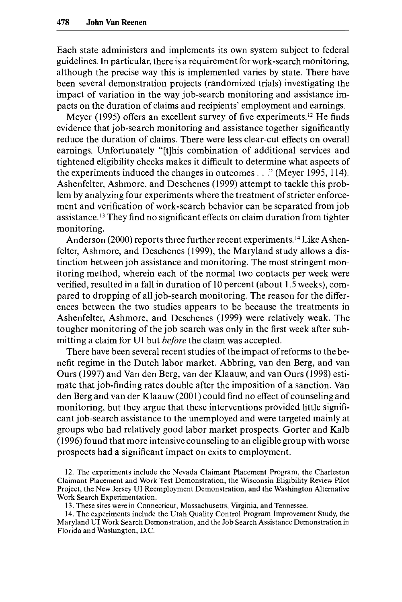Each state administers and implements its own system subject to federal guidelines. In particular, there is a requirement for work-search monitoring, although the precise way this is implemented varies by state. There have been several demonstration projects (randomized trials) investigating the impact of variation in the way job-search monitoring and assistance impacts on the duration of claims and recipients' employment and earnings.

Meyer (1995) offers an excellent survey of five experiments.<sup>12</sup> He finds evidence that job-search monitoring and assistance together significantly reduce the duration of claims. There were less clear-cut effects on overall earnings. Unfortunately "[tlhis combination of additional services and tightened eligibility checks makes it difficult to determine what aspects of the experiments induced the changes in outcomes . . ." (Meyer 1995,114). Ashenfelter, Ashmore, and Deschenes (1999) attempt to tackle this problem by analyzing four experiments where the treatment of stricter enforcement and verification of work-search behavior can be separated from job assistance.<sup>13</sup> They find no significant effects on claim duration from tighter monitoring.

Anderson (2000) reports three further recent experiments.<sup>14</sup> Like Ashenfelter, Ashmore, and Deschenes (1999), the Maryland study allows a distinction between job assistance and monitoring. The most stringent monitoring method, wherein each of the normal two contacts per week were verified, resulted in a fall in duration of 10 percent (about 1.5 weeks), compared to dropping of all job-search monitoring. The reason for the differences between the two studies appears to be because the treatments in Ashenfelter, Ashmore, and Deschenes (1999) were relatively weak. The tougher monitoring of the job search was only in the first week after submitting a claim for UI but *before* the claim was accepted.

There have been several recent studies of the impact of reforms to the benefit regime in the Dutch labor market. Abbring, van den Berg, and van Ours (1997) and Van den Berg, van der Klaauw, and van Ours (1998) estimate that job-finding rates double after the imposition of a sanction. Van den Berg and van der Klaauw (2001) could find no effect of counseling and monitoring, but they argue that these interventions provided little significant job-search assistance to the unemployed and were targeted mainly at groups who had relatively good labor market prospects. Gorter and Kalb (1 996) found that more intensive counseling to an eligible group with worse prospects had a significant impact on exits to employment.

12. The experiments include the Nevada Claimant Placement Program, the Charleston Claimant Placement and Work Test Demonstration, the Wisconsin Eligibility Review Pilot Project, the New Jersey UI Reemployment Demonstration, and the Washington Alternative Work Search Experimentation.

**13.** These sites were in Connecticut, Massachusetts, Virginia, and Tennessee.

**14.** The experiments include the Utah Quality Control Program Improvement Study, the Maryland UI Work Search Demonstration, and the Job Search Assistance Demonstration in Florida and Washington, D.C.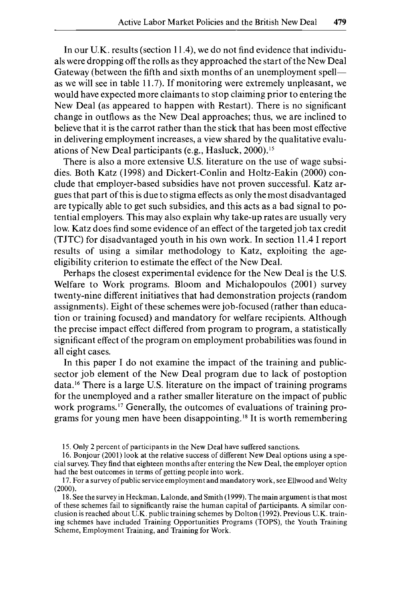In our U.K. results (section 11.4), we do not find evidence that individuals were dropping off the rolls as they approached the start of the New Deal Gateway (between the fifth and sixth months of an unemployment spell as we will see in table 11.7). If monitoring were extremely unpleasant, we would have expected more claimants to stop claiming prior to entering the New Deal (as appeared to happen with Restart). There is no significant change in outflows as the New Deal approaches; thus, we are inclined to believe that it is the carrot rather than the stick that has been most effective in delivering employment increases, a view shared by the qualitative evaluations of New Deal participants (e.g., Hasluck, 2000).<sup>15</sup>

There is also a more extensive U.S. literature on the use of wage subsidies. Both Katz (1998) and Dickert-Conlin and Holtz-Eakin (2000) conclude that employer-based subsidies have not proven successful. Katz argues that part of this is due to stigma effects as only the most disadvantaged are typically able to get such subsidies, and this acts as a bad signal to potential employers. This may also explain why take-up rates are usually very low. Katz does find some evidence of an effect of the targeted job tax credit (TJTC) for disadvantaged youth in his own work. In section 1 1.4 I report results of using a similar methodology to Katz, exploiting the ageeligibility criterion to estimate the effect of the New Deal.

Perhaps the closest experimental evidence for the New Deal is the **U.S.**  Welfare to Work programs. Bloom and Michalopoulos (2001) survey twenty-nine different initiatives that had demonstration projects (random assignments). Eight of these schemes were job-focused (rather than education or training focused) and mandatory for welfare recipients. Although the precise impact effect differed from program to program, a statistically significant effect of the program on employment probabilities was found in all eight cases.

In this paper I do not examine the impact of the training and publicsector job element of the New Deal program due to lack of postoption data.<sup>16</sup> There is a large U.S. literature on the impact of training programs for the unemployed and a rather smaller literature on the impact of public work programs.<sup>17</sup> Generally, the outcomes of evaluations of training programs for young men have been disappointing.<sup>18</sup> It is worth remembering

15. Only 2 percent of participants in the New Deal have suffered sanctions.

16. Ronjour (2001) look at the relative success of different New Deal options using a special survey. They find that eighteen months after entering the New Deal, the employer option had the best outcomes in terms of getting people into work.

17. For a survey of public service employment and mandatory work, see Ellwood and Welty (2000).

18. See the survey in Heckman, Lalonde, and Smith (1999). The main argument is that most of these schemes fail to significantly raise the human capital of participants. **A** similar conclusion is reached about U.K. public training schemes by Dolton (1992). Previous U.K. training schemes have included Training Opportunities Programs (TOPS), the Youth Training Scheme, Employment Training, and Training for Work.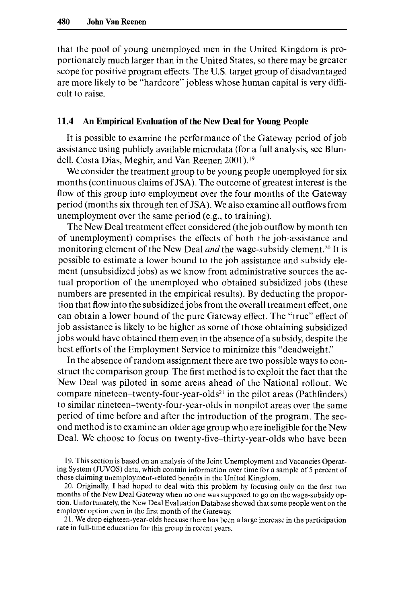that the pool of young unemployed men in the United Kingdom is proportionately much larger than in the United States, so there may be greater scope for positive program effects. The U.S. target group of disadvantaged are more likely to be "hardcore" jobless whose human capital is very difficult to raise.

#### **11.4 An Empirical Evaluation of the New Deal for Young People**

It is possible to examine the performance of the Gateway period of job assistance using publicly available microdata (for a full analysis, see Blundell, Costa Dias, Meghir, and Van Reenen 2001).'9

We consider the treatment group to be young people unemployed for six months (continuous claims of **JSA).** The outcome of greatest interest is the flow of this group into employment over the four months of the Gateway period (months six through ten of **JSA).** We also examine all outflows from unemployment over the same period (e.g., to training).

The New Deal treatment effect considered (the job outflow by month ten of unemployment) comprises the effects of both the job-assistance and monitoring element of the New Deal *and* the wage-subsidy element.<sup>20</sup> It is possible to estimate a lower bound to the job assistance and subsidy element (unsubsidized jobs) as we know from administrative sources the actual proportion of the unemployed who obtained subsidized jobs (these numbers are presented in the empirical results). By deducting the proportion that flow into the subsidized jobs from the overall treatment effect, one can obtain a lower bound of the pure Gateway effect. The "true" effect of job assistance is likely to be higher as some of those obtaining subsidized jobs would have obtained them even in the absence of a subsidy, despite the best efforts of the Employment Service to minimize this "deadweight."

In the absence of random assignment there are two possible ways to construct the comparison group. The first method is to exploit the fact that the New Deal was piloted in some areas ahead of the National rollout. We compare nineteen-twenty-four-year-olds<sup>21</sup> in the pilot areas (Pathfinders) to similar nineteen-twenty-four-year-olds in nonpilot areas over the same period of time before and after the introduction of the program, The second method is to examine an older age group who are ineligible for the New Deal. We choose to focus on twenty-five-thirty-year-olds who have been

19. This section is based on an analysis of the Joint Unemployment and Vacancies Operating System (JUVOS) data, which contain information over time for a sample of 5 percent of those claiming unemployment-related benefits in the United Kingdom.

20. Originally, **I** had hoped to deal with this problem by focusing only on the first two months of the New Deal Gateway when no one was supposed to go on the wage-subsidy option. Unfortunately, the New Deal Evaluation Database showed that some people went on the employer option even in the first month of the Gateway.

21. We drop eighteen-year-olds because there has been a large increase in the participation rate in full-time education for this group in recent years.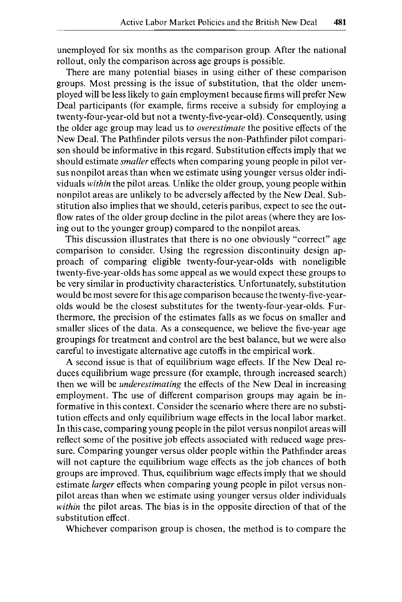unemployed for six months as the comparison group. After the national rollout, only the comparison across age groups is possible.

There are many potential biases in using either of these comparison groups. Most pressing is the issue of substitution, that the older unemployed will be less likely to gain employment because firms will prefer New Deal participants (for example, firms receive a subsidy for employing a twenty-four-year-old but not a twenty-five-year-old). Consequently, using the older age group may lead us to *overestimate* the positive effects of the New Deal. The Pathfinder pilots versus the non-Pathfinder pilot comparison should be informative in this regard. Substitution effects imply that we should estimate *smaller* effects when comparing young people in pilot versus nonpilot areas than when we estimate using younger versus older individuals *within* the pilot areas. Unlike the older group, young people within nonpilot areas are unlikely to be adversely affected by the New Deal. Substitution also implies that we should, ceteris paribus, expect to see the outflow rates of the older group decline in the pilot areas (where they are losing out to the younger group) compared to the nonpilot areas.

This discussion illustrates that there is no one obviously "correct" age comparison to consider. Using the regression discontinuity design approach of comparing eligible twenty-four-year-olds with noneligible twenty-five-year-olds has some appeal as we would expect these groups to be very similar in productivity characteristics. Unfortunately, substitution would be most severe for this age comparison because the twenty-five-yearolds would be the closest substitutes for the twenty-four-year-olds. Furthermore, the precision of the estimates falls as we focus on smaller and smaller slices of the data. As a consequence, we believe the five-year age groupings for treatment and control are the best balance, but we were also careful to investigate alternative age cutoffs in the empirical work.

**A** second issue is that of equilibrium wage effects. If the New Deal reduces equilibrium wage pressure (for example, through increased search) then we will be *underestimating* the effects of the New Deal in increasing employment. The use of different comparison groups may again be informative in this context. Consider the scenario where there are no substitution effects and only equilibrium wage effects in the local labor market. In this case, comparing young people in the pilot versus nonpilot areas will reflect some of the positive job effects associated with reduced wage pressure. Comparing younger versus older people within the Pathfinder areas will not capture the equilibrium wage effects as the job chances of both groups are improved. Thus, equilibrium wage effects imply that we should estimate *larger* effects when comparing young people in pilot versus nonpilot areas than when we estimate using younger versus older individuals *within* the pilot areas. The bias is in the opposite direction of that of the substitution effect.

Whichever comparison group is chosen, the method is to compare the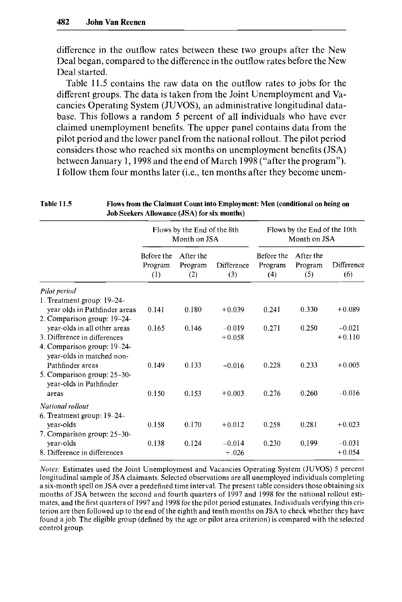difference in the outflow rates between these two groups after the New Deal began, compared to the difference in the outflow rates before the New Deal started.

Table 11.5 contains the raw data on the outflow rates to jobs for the different groups. The data is taken from the Joint Unemployment and Vacancies Operating System (JUVOS), an administrative longitudinal database. This follows a random 5 percent of all individuals who have ever claimed unemployment benefits. The upper panel contains data from the pilot period and the lower panel from the national rollout. The pilot period considers those who reached six months on unemployment benefits (JSA) between January 1, 1998 and the end of March 1998 ("after the program"). I follow them four months later (i.e., ten months after they become unem-

Table **11.5** Flows from the Claimant Count into Employment: Men (conditional on being **on** 

| Job Seekers Allowance (JSA) for six months)                                                                                |                                             |                             |                      |                                              |                             |                      |  |
|----------------------------------------------------------------------------------------------------------------------------|---------------------------------------------|-----------------------------|----------------------|----------------------------------------------|-----------------------------|----------------------|--|
|                                                                                                                            | Flows by the End of the 8th<br>Month on JSA |                             |                      | Flows by the End of the 10th<br>Month on JSA |                             |                      |  |
|                                                                                                                            | Before the<br>Program<br>(1)                | After the<br>Program<br>(2) | Difference<br>(3)    | Before the<br>Program<br>(4)                 | After the<br>Program<br>(5) | Difference<br>(6)    |  |
| Pilot period                                                                                                               |                                             |                             |                      |                                              |                             |                      |  |
| 1. Treatment group: 19–24-<br>year olds in Pathfinder areas                                                                | 0.141                                       | 0.180                       | $+0.039$             | 0.241                                        | 0.330                       | $+0.089$             |  |
| 2. Comparison group: 19-24-<br>year-olds in all other areas<br>3. Difference in differences<br>4. Comparison group: 19-24- | 0.165                                       | 0.146                       | $-0.019$<br>$+0.058$ | 0.271                                        | 0.250                       | $-0.021$<br>$+0.110$ |  |
| year-olds in matched non-<br>Pathfinder areas<br>5. Comparison group: 25-30-<br>year-olds in Pathfinder                    | 0.149                                       | 0.133                       | $-0.016$             | 0.228                                        | 0.233                       | $+0.005$             |  |
| areas                                                                                                                      | 0.150                                       | 0.153                       | $+0.003$             | 0.276                                        | 0.260                       | $-0.016$             |  |
| National rollout<br>6. Treatment group: 19-24-                                                                             |                                             |                             |                      |                                              |                             |                      |  |
| year-olds<br>7. Comparison group: 25-30-                                                                                   | 0.158                                       | 0.170                       | $+0.012$             | 0.258                                        | 0.281                       | $+0.023$             |  |
| year-olds<br>8. Difference in differences                                                                                  | 0.138                                       | 0.124                       | $-0.014$<br>$+.026$  | 0.230                                        | 0.199                       | $-0.031$<br>$+0.054$ |  |

*Notes:* Estimates used the Joint Unemployment and Vacancies Operating System (JUVOS) 5 percent longitudinal sample of JSA claimants. Selected observations are all unemployed individuals completing a six-month spell on JSA over a predefined time interval. The present table considers those obtaining six months of JSA between the second and fourth quarters of 1997 and 1998 for the national rollout estimates, and the first quarters of 1997 and 1998 for the pilot period estimates. Individuals verifying this criterion are then followed up to the end of the eighth and tenth months on JSA to check whether they have found a job. The eligible group (defined by the age or pilot area criterion) is compared with the selected control group.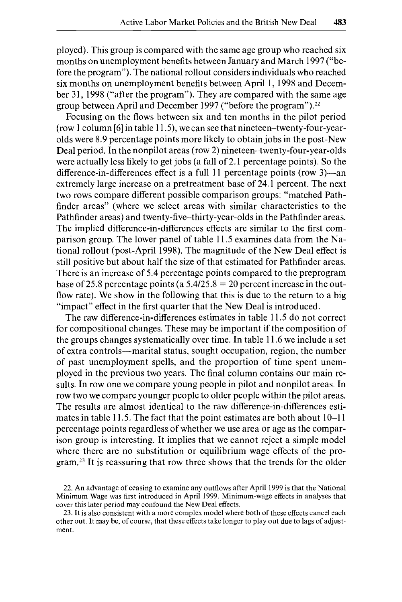ployed). This group is compared with the same age group who reached six months on unemployment benefits between January and March 1997 ("before the program"). The national rollout considers individuals who reached six months on unemployment benefits between April 1, 1998 and December 31, 1998 ("after the program"). They are compared with the same age group between April and December 1997 ("before the program").<sup>22</sup>

Focusing on the flows between six and ten months in the pilot period (row 1 column *[6]* in table 11.5), we can see that nineteen-twenty-four-yearolds were 8.9 percentage points more likely to obtain jobs in the post-New Deal period. In the nonpilot areas (row 2) nineteen-twenty-four-year-olds were actually less likely to get jobs (a fall of 2.1 percentage points). **So** the difference-in-differences effect is a full 11 percentage points (row 3)—an extremely large increase on a pretreatment base of 24.1 percent. The next two rows compare different possible comparison groups: "matched Pathfinder areas" (where we select areas with similar characteristics to the Pathfinder areas) and twenty-five-thirty-year-olds in the Pathfinder areas. The implied difference-in-differences effects are similar to the first comparison group. The lower panel of table 11.5 examines data from the National rollout (post-April 1998). The magnitude of the New Deal effect is still positive but about half the size of that estimated for Pathfinder areas. There is an increase of 5.4 percentage points compared to the preprogram base of 25.8 percentage points (a  $5.4/25.8 = 20$  percent increase in the outflow rate). We show in the following that this is due to the return to a big "impact" effect in the first quarter that the New Deal is introduced.

The raw difference-in-differences estimates in table 11.5 do not correct for compositional changes. These may be important if the composition of the groups changes systematically over time. In table 1 1.6 we include a set of extra controls—marital status, sought occupation, region, the number of past unemployment spells, and the proportion of time spent unemployed in the previous two years. The final column contains our main results. In row one we compare young people in pilot and nonpilot areas. In row two we compare younger people to older people within the pilot areas. The results are almost identical to the raw difference-in-differences estimates in table 11.5. The fact that the point estimates are both about 10–11 percentage points regardless of whether we use area or age as the comparison group is interesting. It implies that we cannot reject a simple model where there are no substitution or equilibrium wage effects of the program.<sup>23</sup> It is reassuring that row three shows that the trends for the older

<sup>22.</sup> An advantage of ceasing to examine any outflows after April 1999 is that the National Minimum Wage was first introduced in April 1999. Minimum-wage effects in analyses that cover this later period may confound the New Deal effects.

<sup>23.</sup> It is also consistent with a more complex model where both of these effects cancel each other out. It may be, of course, that these effects take longer to play out due to lags of adjustment.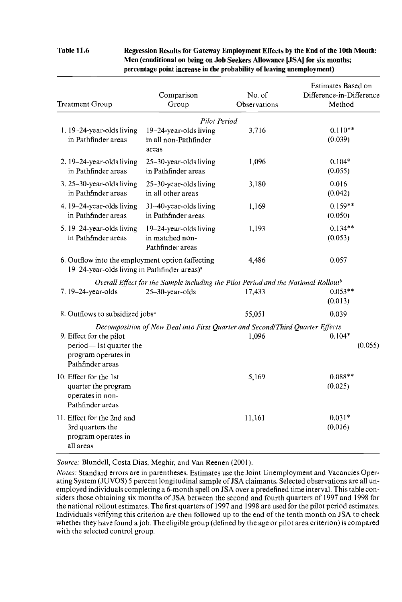**Table 11.6 Regression Results for Gateway Employment Effects by the End of the 10th Month Men (conditional on being on Job Seekers Allowance [JSAl for six months; percentage point increase in the probability of leaving unemployment)** 

| <b>Treatment Group</b>                                                                                        | Comparison<br>Group                                                                            | No. of<br>Observations | Estimates Based on<br>Difference-in-Difference<br>Method |  |
|---------------------------------------------------------------------------------------------------------------|------------------------------------------------------------------------------------------------|------------------------|----------------------------------------------------------|--|
|                                                                                                               | Pilot Period                                                                                   |                        |                                                          |  |
| $1.19 - 24$ -year-olds living<br>in Pathfinder areas                                                          | $19-24$ -year-olds living<br>in all non-Pathfinder<br>areas                                    | 3,716                  | $0.110**$<br>(0.039)                                     |  |
| 2. 19–24-year-olds living<br>in Pathfinder areas                                                              | 25-30-year-olds living<br>in Pathfinder areas                                                  | 1,096                  | $0.104*$<br>(0.055)                                      |  |
| $3.25 - 30$ -year-olds living<br>in Pathfinder areas                                                          | $25-30$ -year-olds living<br>in all other areas                                                | 3,180                  | 0.016<br>(0.042)                                         |  |
| 4. 19-24-year-olds living<br>in Pathfinder areas                                                              | 31-40-year-olds living<br>in Pathfinder areas                                                  | 1,169                  | $0.159**$<br>(0.050)                                     |  |
| 5. 19–24-year-olds living<br>in Pathfinder areas                                                              | $19-24$ -year-olds living<br>in matched non-<br>Pathfinder areas                               | 1,193                  | $0.134**$<br>(0.053)                                     |  |
| 6. Outflow into the employment option (affecting)<br>19–24-year-olds living in Pathfinder areas) <sup>a</sup> |                                                                                                | 4,486                  | 0.057                                                    |  |
|                                                                                                               | Overall Effect for the Sample including the Pilot Period and the National Rollout <sup>b</sup> |                        |                                                          |  |
| 7.19-24-year-olds                                                                                             | $25-30$ -year-olds                                                                             | 17,433                 | $0.053**$<br>(0.013)                                     |  |
| 8. Outflows to subsidized jobs <sup>a</sup>                                                                   |                                                                                                | 55,051                 | 0.039                                                    |  |
|                                                                                                               | Decomposition of New Deal into First Quarter and Second/Third Quarter Effects                  |                        |                                                          |  |
| 9. Effect for the pilot                                                                                       |                                                                                                | 1,096                  | $0.104*$                                                 |  |
| period—1st quarter the<br>program operates in<br>Pathfinder areas                                             |                                                                                                |                        | (0.055)                                                  |  |
| 10. Effect for the 1st<br>quarter the program<br>operates in non-<br>Pathfinder areas                         |                                                                                                | 5,169                  | $0.088**$<br>(0.025)                                     |  |
| 11. Effect for the 2nd and<br>3rd quarters the<br>program operates in<br>all areas                            |                                                                                                | 11,161                 | $0.031*$<br>(0.016)                                      |  |

*Source:* Blundell, Costa Dias, Meghir, and Van Reenen (2001).

*Notes;* Standard errors are in parentheses. Estimates use the Joint Unemployment and Vacancies Operating System (JUVOS) *5* percent longitudinal sample of JSA claimants. Selected observations are all unemployed individuals completing a 6-month spell on JSA over a predefined time interval. This table considers those obtaining six months of JSA between the second and fourth quarters of 1997 and 1998 for the national rollout estimates. The first quarters of 1997 and 1998 are used for the pilot period estimates. Individuals verifying this criterion are then followed up to the end of the tenth month on JSA to check whether they have found a job. The eligible group (defined by the age or pilot area criterion) is compared with the selected control group.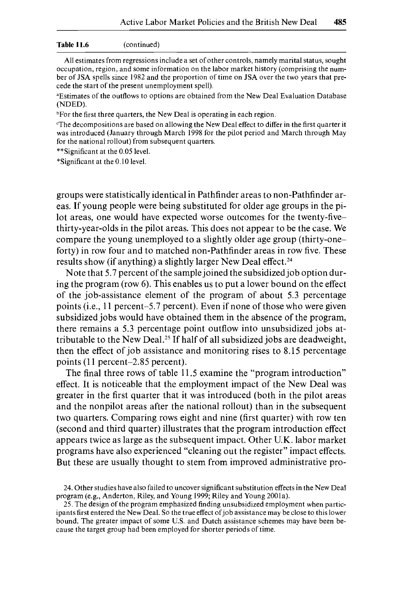#### **Table 11.6** (continued)

All estimates from regressions include a set of other controls, namely marital status, sought occupation, region, and some information on the labor market history (comprising the number of JSA spells since 1982 and the proportion of time on **JSA** over the two years that precede the start of the present unemployment spell).

"Estimates of the outflows to options are obtained from the New Deal Evaluation Database (NDED).

<sup>b</sup>For the first three quarters, the New Deal is operating in each region.

"The decompositions are based on allowing the New Deal effect to differ in the first quarter it was introduced (January through March 1998 for the pilot period and March through May for the national rollout) from subsequent quarters.

\*\*Significant at the 0.05 level.

\*Significant at the 0.10 level.

groups were statistically identical in Pathfinder areas to non-Pathfinder areas. If young people were being substituted for older age groups in the pilot areas, one would have expected worse outcomes for the twenty-fivethirty-year-olds in the pilot areas. This does not appear to be the case. We compare the young unemployed to a slightly older age group (thirty-oneforty) in row four and to matched non-Pathfinder areas in row five. These results show (if anything) a slightly larger New Deal effect.<sup>24</sup>

Note that 5.7 percent of the sample joined the subsidized job option during the program (row **6).** This enables us to put a lower bound on the effect of the job-assistance element of the program of about 5.3 percentage points (i.e., 11 percent-5.7 percent). Even if none of those who were given subsidized jobs would have obtained them in the absence of the program, there remains a 5.3 percentage point outflow into unsubsidized jobs attributable to the New Deal.<sup>25</sup> If half of all subsidized jobs are deadweight, then the effect of job assistance and monitoring rises to 8.15 percentage points **(11 percent**-2.85 percent).

The final three rows of table 11.5 examine the "program introduction" effect. It is noticeable that the employment impact of the New Deal was greater in the first quarter that it was introduced (both in the pilot areas and the nonpilot areas after the national rollout) than in the subsequent two quarters. Comparing rows eight and nine (first quarter) with row ten (second and third quarter) illustrates that the program introduction effect appears twice as large as the subsequent impact. Other U.K. labor market programs have also experienced "cleaning out the register" impact effects. But these are usually thought to stem from improved administrative pro-

<sup>24.</sup> Other studies have also failed to uncover significant substitution effects in the New Deal program (e.g., Anderton, Riley, and Young 1999; Riley and Young 2001a).

<sup>25.</sup> The design of the program emphasized finding unsubsidized employment when participantsfirst entered the New Deal. So the true effect ofjob assistance may be close to this lower bound. The greater impact of some **U.S.** and Dutch assistance schemes may have been because the target group had been employed for shorter periods of time.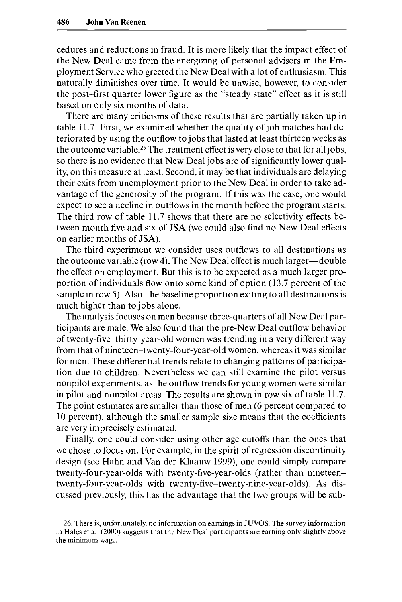cedures and reductions in fraud. It is more likely that the impact effect of the New Deal came from the energizing of personal advisers in the Employment Service who greeted the New Deal with a lot of enthusiasm. This naturally diminishes over time. It would be unwise, however, to consider the post-first quarter lower figure as the "steady state" effect as it is still based on only six months of data.

There are many criticisms of these results that are partially taken up in table 11.7. First, we examined whether the quality of job matches had deteriorated by using the outflow to jobs that lasted at least thirteen weeks as the outcome variable.26 The treatment effect is very close to that for all jobs, so there is no evidence that New Deal jobs are of significantly lower quality, on this measure at least. Second, it may be that individuals are delaying their exits from unemployment prior to the New Deal in order to take advantage of the generosity of the program. If this was the case, one would expect to see a decline in outflows in the month before the program starts. The third row of table 11.7 shows that there are no selectivity effects between month five and six of JSA (we could also find no New Deal effects on earlier months of JSA).

The third experiment we consider uses outflows to all destinations as the outcome variable (row 4). The New Deal effect is much larger-double the effect on employment. But this is to be expected as a much larger proportion of individuals flow onto some kind of option (13.7 percent of the sample in row 5). Also, the baseline proportion exiting to all destinations is much higher than to jobs alone.

The analysis focuses on men because three-quarters of all New Deal participants are male. We also found that the pre-New Deal outflow behavior of twenty-five-thirty-year-old women was trending in a very different way from that of nineteen-twenty-four-year-old women, whereas it was similar for men. These differential trends relate to changing patterns of participation due to children. Nevertheless we can still examine the pilot versus nonpilot experiments, as the outflow trends for young women were similar in pilot and nonpilot areas. The results are shown in row six of table 11.7. The point estimates are smaller than those of men (6 percent compared to 10 percent), although the smaller sample size means that the coefficients are very imprecisely estimated.

Finally, one could consider using other age cutoffs than the ones that we chose to focus on. For example, in the spirit of regression discontinuity design (see Hahn and Van der Klaauw 1999), one could simply compare twenty-four-year-olds with twenty-five-year-olds (rather than nineteentwenty-four-year-olds with twenty-five-twenty-nine-year-olds). As discussed previously, this has the advantage that the two groups will be sub-

*<sup>26.</sup>* There is, unfortunately, no information on earnings in **JUVOS.** The survey information in Hales et al. (2000) suggests that the New Deal participants are earning only slightly above the minimum wage.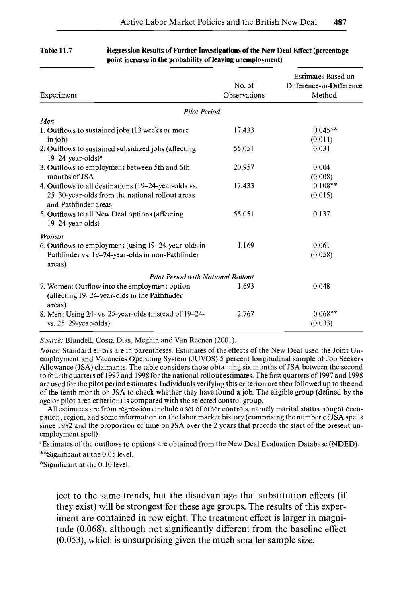| Experiment                                                                                                                      | No. of<br>Observations | Estimates Based on<br>Difference-in-Difference<br>Method |
|---------------------------------------------------------------------------------------------------------------------------------|------------------------|----------------------------------------------------------|
| <b>Pilot Period</b>                                                                                                             |                        |                                                          |
| Men                                                                                                                             |                        |                                                          |
| 1. Outflows to sustained jobs (13 weeks or more<br>in $ 0$                                                                      | 17,433                 | $0.045**$<br>(0.011)                                     |
| 2. Outflows to sustained subsidized jobs (affecting<br>$19-24$ -year-olds) <sup>a</sup>                                         | 55,051                 | 0.031                                                    |
| 3. Outflows to employment between 5th and 6th<br>months of JSA                                                                  | 20,957                 | 0.004<br>(0.008)                                         |
| 4. Outflows to all destinations (19–24-year-olds vs.<br>25–30-year-olds from the national rollout areas<br>and Pathfinder areas | 17,433                 | $0.108**$<br>(0.015)                                     |
| 5. Outflows to all New Deal options (affecting<br>$19-24$ -year-olds)                                                           | 55,051                 | 0.137                                                    |
| Women                                                                                                                           |                        |                                                          |
| 6. Outflows to employment (using 19–24-year-olds in<br>Pathfinder vs. 19-24-year-olds in non-Pathfinder<br>areas)               | 1.169                  | 0.061<br>(0.058)                                         |
| <b>Pilot Period with National Rollout</b>                                                                                       |                        |                                                          |
| 7. Women: Outflow into the employment option<br>(affecting 19–24-year-olds in the Pathfinder<br>areas)                          | 1.693                  | 0.048                                                    |
| 8. Men: Using 24- vs. 25-year-olds (instead of 19–24-<br>$vs. 25-29-year-olds)$                                                 | 2,767                  | $0.068**$<br>(0.033)                                     |

#### **Table 11.7 Regression Results of Further Investigations of the New Deal Effect (percentage point increase in the probability of leaving unemployment)**

*Source:* Blundell, Costa Dias, Meghir, and Van Reenen (2001).

*Notes:* Standard errors are in parentheses. Estimates of the effects of the New Deal used the Joint Unemployment and Vacancies Operating System (JUVOS) 5 percent longitudinal sample of Job Seekers Allowance **(JSA)** claimants. The table considers those obtaining six months of JSA between the second to fourth quarters of 1997 and 1998 for the national rollout estimates. The first quarters of 1997 and 1998 are used for the pilot period estimates. Individuals verifying this criterion are then followed up to the end of the tenth month on JSA to check whether they have found a job. The eligible group (defined by the age or pilot area criterion) is compared with the selected control group.

All estimates are from regressions include a set of other controls, namely marital status, sought occupation, region, and some information on the labor market history (comprising the number of JSA spells since 1982 and the proportion of time on JSA over the 2 years that precede the start of the present unemployment spell).

"Estimates of the outflows to options are obtained from the New Deal Evaluation Database (NDED). \*\*Significant at the 0.05 level

\*Significant at the 0.10 level.

ject to the same trends, but the disadvantage that substitution effects (if they exist) will be strongest for these age groups. The results of this experiment are contained in row eight. The treatment effect is larger in magnitude (0.068), although not significantly different from the baseline effect *(0.053),* which is unsurprising given the much smaller sample size.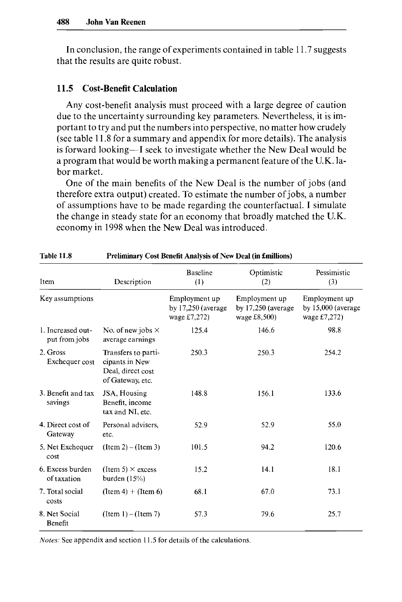In conclusion, the range of experiments contained in table 11.7 suggests that the results are quite robust.

# **11.5 Cost-Benefit Calculation**

Any cost-benefit analysis must proceed with a large degree of caution due to the uncertainty surrounding key parameters. Nevertheless, it is important to try and put the numbers into perspective, no matter how crudely (see table 11.8 for a summary and appendix for more details). The analysis is forward looking-I seek to investigate whether the New Deal would be a program that would be worth making a permanent feature of the U.K. labor market.

One of the main benefits of the New Deal is the number of jobs (and therefore extra output) created. To estimate the number of jobs, a number of assumptions have to be made regarding the counterfactual. I simulate the change in steady state for an economy that broadly matched the U.K. economy in 1998 when the New Deal was introduced.

| Item                               | Description                                                                    | <b>Baseline</b><br>(1)                                | Optimistic<br>(2)                                       | Pessimistic<br>(3)                                  |  |  |  |
|------------------------------------|--------------------------------------------------------------------------------|-------------------------------------------------------|---------------------------------------------------------|-----------------------------------------------------|--|--|--|
| Key assumptions                    |                                                                                | Employment up<br>by $17,250$ (average<br>wage £7,272) | Employment up<br>by $17,250$ (average<br>wage $£8,500)$ | Employment up<br>by 15,000 (average<br>wage £7,272) |  |  |  |
| 1. Increased out-<br>put from jobs | No. of new jobs $\times$<br>average earnings                                   | 125.4                                                 | 146.6                                                   | 98.8                                                |  |  |  |
| 2. Gross<br>Exchequer cost         | Transfers to parti-<br>cipants in New<br>Deal, direct cost<br>of Gateway, etc. | 250.3                                                 | 250.3                                                   | 254.2                                               |  |  |  |
| 3. Benefit and tax<br>savings      | JSA, Housing<br>Benefit, income<br>tax and NI, etc.                            | 148.8                                                 | 156.1                                                   | 133.6                                               |  |  |  |
| 4. Direct cost of<br>Gateway       | Personal advisers,<br>etc.                                                     | 52.9                                                  | 52.9                                                    | 55.0                                                |  |  |  |
| 5. Net Exchequer<br>cost           | $(Item 2) - (Item 3)$                                                          | 101.5                                                 | 94.2                                                    | 120.6                                               |  |  |  |
| 6. Excess burden<br>of taxation    | (Item 5) $\times$ excess<br>burden $(15%)$                                     | 15.2                                                  | 14.1                                                    | 18.1                                                |  |  |  |
| 7. Total social<br>costs           | $($ Item 4 $) + ($ Item 6 $)$                                                  | 68.1                                                  | 67.0                                                    | 73.1                                                |  |  |  |
| 8. Net Social<br>Benefit           | $(Item 1) - (Item 7)$                                                          | 57.3                                                  | 79.6                                                    | 25,7                                                |  |  |  |

**Table 11.8 Preliminary Cost Benefit Analysis of New Deal (in £millions)** 

*Notes:* See appendix and section 11.5 for details of the calculations.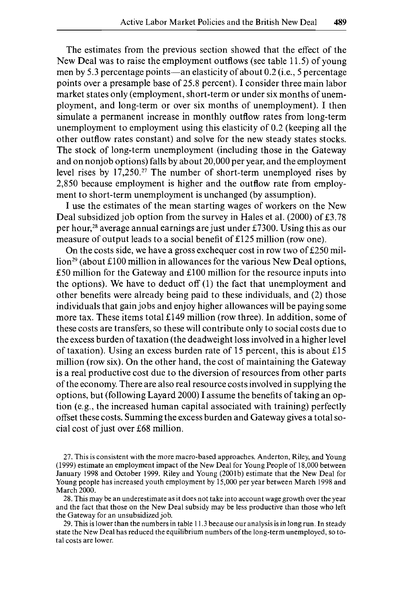The estimates from the previous section showed that the effect of the New Deal was to raise the employment outflows (see table 11.5) of young men by 5.3 percentage points—an elasticity of about  $0.2$  (i.e., 5 percentage points over a presample base of 25.8 percent). I consider three main labor market states only (employment, short-term or under six months of unemployment, and long-term or over six months of unemployment). I then simulate a permanent increase in monthly outflow rates from long-term unemployment to employment using this elasticity of 0.2 (keeping all the other outflow rates constant) and solve for the new steady states stocks. The stock of long-term unemployment (including those in the Gateway and on nonjob options) falls by about 20,000 per year, and the employment level rises by 17,250.?' The number of short-term unemployed rises by 2,850 because employment is higher and the outflow rate from employment to short-term unemployment is unchanged (by assumption).

I use the estimates of the mean starting wages of workers on the New Deal subsidized job option from the survey in Hales et al. (2000) of £3.78 per hour,28 average annual earnings are just under &7300. Using this as our measure of output leads to a social benefit of El25 million (row one).

On the costs side, we have a gross exchequer cost in row two of  $£250$  mil- $\lim_{n \to \infty} 29$  (about £100 million in allowances for the various New Deal options,  $£50$  million for the Gateway and  $£100$  million for the resource inputs into the options). We have to deduct off (1) the fact that unemployment and other benefits were already being paid to these individuals, and (2) those individuals that gain jobs and enjoy higher allowances will be paying some more tax. These items total El49 million (row three). In addition, some of these costs are transfers, so these will contribute only to social costs due to the excess burden of taxation (the deadweight loss involved in a higher level of taxation). Using an excess burden rate of 15 percent, this is about  $£15$ million (row six). On the other hand, the cost of maintaining the Gateway is a real productive cost due to the diversion of resources from other parts of the economy. There are also real resource costs involved in supplying the options, but (following Layard 2000) I assume the benefits of taking an option (e.g., the increased human capital associated with training) perfectly offset these costs. Summing the excess burden and Gateway gives a total social cost of just over **&68** million.

27. This is consistent with the more macro-based approaches. Anderton, Riley, and Young (1999) estimate an employment impact of the New Deal for Young People of 18,000 between January 1998 and October 1999. Riley and Young (2001b) estimate that the New Deal for Young people has increased youth employment by 15,000 per year between March 1998 and March 2000.

28. This may be an underestimate as it does not take into account wage growth over the year and the fact that those on the New Deal subsidy may be less productive than those who left the Gateway for an unsubsidized job.

29. This is lower than the numbers in table 1 1.3 because our analysis is in long run. In steady state the New Deal has reduced the equilibrium numbers of the long-term unemployed, so total costs are lower.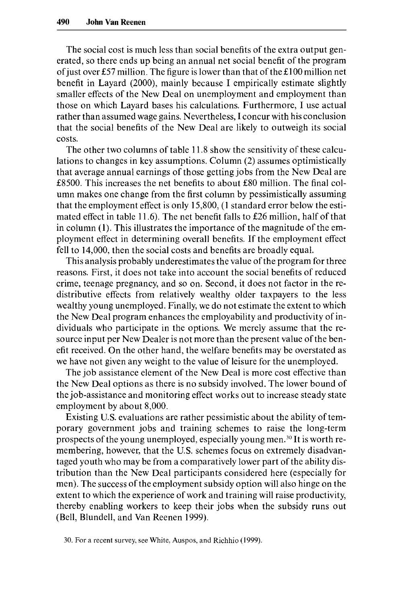The social cost is much less than social benefits of the extra output generated, so there ends up being an annual net social benefit of the program ofjust over **&57** million. The figure is lower than that of the El00 million net benefit in Layard (2000), mainly because I empirically estimate slightly smaller effects of the New Deal on unemployment and employment than those on which Layard bases his calculations. Furthermore, I use actual rather than assumed wage gains. Nevertheless, I concur with his conclusion that the social benefits of the New Deal are likely to outweigh its social costs.

The other two columns of table 11.8 show the sensitivity of these calculations to changes in key assumptions. Column (2) assumes optimistically that average annual earnings of those getting jobs from the New Deal are &8500. This increases the net benefits to about &80 million. The final column makes one change from the first column by pessimistically assuming that the employment effect is only 15,800, (1 standard error below the estimated effect in table 11.6). The net benefit falls to  $£26$  million, half of that in column (1). This illustrates the importance of the magnitude of the employment effect in determining overall benefits. If the employment effect fell to 14,000, then the social costs and benefits are broadly equal.

This analysis probably underestimates the value of the program for three reasons. First, it does not take into account the social benefits of reduced crime, teenage pregnancy, and so on. Second, it does not factor in the redistributive effects from relatively wealthy older taxpayers to the less wealthy young unemployed. Finally, we do not estimate the extent to which the New Deal program enhances the employability and productivity of individuals who participate in the options. We merely assume that the resource input per New Dealer is not more than the present value of the benefit received. On the other hand, the welfare benefits may be overstated as we have not given any weight to the value of leisure for the unemployed.

The job assistance element of the New Deal is more cost effective than the New Deal options as there is no subsidy involved. The lower bound of the job-assistance and monitoring effect works out to increase steady state employment by about 8,000.

Existing **U.S.** evaluations are rather pessimistic about the ability of temporary government jobs and training schemes to raise the long-term prospects of the young unemployed, especially young men.<sup>30</sup> It is worth remembering, however, that the U.S. schemes focus on extremely disadvantaged youth who may be from a comparatively lower part of the ability distribution than the New Deal participants considered here (especially for men). The success of the employment subsidy option will also hinge on the extent to which the experience of work and training will raise productivity, thereby enabling workers to keep their jobs when the subsidy runs out (Bell, Blundell, and Van Reenen 1999).

30. For **a** recent survey, see White, Auspos, and Richhio (1999)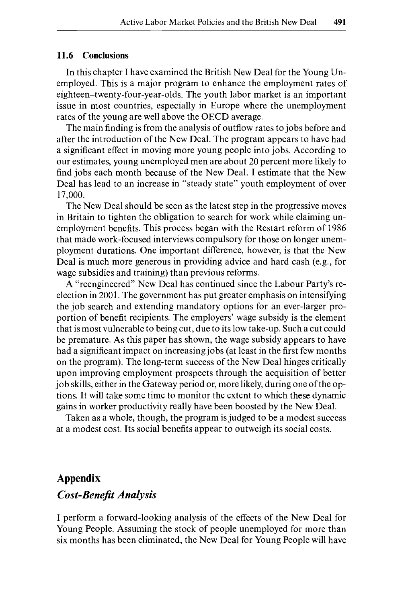### **11.6 Conclusions**

In this chapter I have examined the British New Deal for the Young Unemployed. This is a major program to enhance the employment rates of **eighteen-twenty-four-year-olds.** The youth labor market is an important issue in most countries, especially in Europe where the unemployment rates of the young are well above the OECD average.

The main finding is from the analysis of outflow rates to jobs before and after the introduction of the New Deal. The program appears to have had a significant effect in moving more young people into jobs. According to our estimates, young unemployed men are about 20 percent more likely to find jobs each month because of the New Deal. I estimate that the New Deal has lead to an increase in "steady state" youth employment of over 17,000.

The New Deal should be seen as the latest step in the progressive moves in Britain to tighten the obligation to search for work while claiming unemployment benefits. This process began with the Restart reform of 1986 that made work-focused interviews compulsory for those on longer unemployment durations. One important difference, however, is that the New Deal is much more generous in providing advice and hard cash (e.g., for wage subsidies and training) than previous reforms.

A "reengineered" New Deal has continued since the Labour Party's reelection in 2001. The government has put greater emphasis on intensifying the job search and extending mandatory options for an ever-larger proportion of benefit recipients. The employers' wage subsidy is the element that is most vulnerable to being cut, due to its low take-up. Such a cut could be premature. **As** this paper has shown, the wage subsidy appears to have had a significant impact on increasing jobs (at least in the first few months on the program). The long-term success of the New Deal hinges critically upon improving employment prospects through the acquisition of better job skills, either in the Gateway period or, more likely, during one of the options. It will take some time to monitor the extent to which these dynamic gains in worker productivity really have been boosted by the New Deal.

Taken as a whole, though, the program is judged to be a modest success at a modest cost. Its social benefits appear to outweigh its social costs.

# **Appendix**

# *Cost-Benefit Analysis*

I perform a forward-looking analysis of the effects of the New Deal for Young People. Assuming the stock of people unemployed for more than six months has been eliminated, the New Deal for Young People will have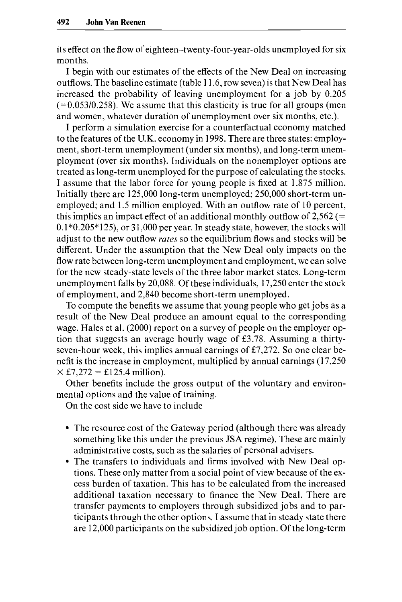its effect on the flow of eighteen-twenty-four-year-olds unemployed for six months.

I begin with our estimates of the effects of the New Deal on increasing outflows. The baseline estimate (table 1 1.6, row seven) is that New Deal has increased the probability of leaving unemployment for a job by 0.205  $(=0.053/0.258)$ . We assume that this elasticity is true for all groups (men and women, whatever duration of unemployment over six months, etc.).

I perform a simulation exercise for a counterfactual economy matched to the features of the U.K. economy in 1998. There are three states: employment, short-term unemployment (under six months), and long-term unemployment (over six months). Individuals on the nonemployer options are treated as long-term unemployed for the purpose of calculating the stocks. I assume that the labor force for young people is fixed at 1.875 million. Initially there are 125,000 long-term unemployed; 250,000 short-term unemployed; and 1.5 million employed. With an outflow rate of 10 percent, this implies an impact effect of an additional monthly outflow of  $2,562$  (=  $0.1*0.205*125$ , or 31,000 per year. In steady state, however, the stocks will adjust to the new outflow *rates* so the equilibrium flows and stocks will be different. Under the assumption that the New Deal only impacts on the flow rate between long-term unemployment and employment, we can solve for the new steady-state levels of the three labor market states. Long-term unemployment falls by 20,088. Of these individuals, 17,250 enter the stock of employment, and 2,840 become short-term unemployed.

To compute the benefits we assume that young people who get jobs as a result of the New Deal produce an amount equal to the corresponding wage. Hales et al. (2000) report on a survey of people on the employer option that suggests an average hourly wage of E3.78. Assuming a thirtyseven-hour week, this implies annual earnings of E7,272. So one clear benefit is the increase in employment, multiplied by annual earnings (17,250  $\times$  £7,272 = £125.4 million).

Other benefits include the gross output of the voluntary and environmental options and the value of training.

On the cost side we have to include

- The resource cost of the Gateway period (although there was already something like this under the previous **JSA** regime). These are mainly administrative costs, such as the salaries of personal advisers.
- The transfers to individuals and firms involved with New Deal options. These only matter from a social point of view because of the excess burden of taxation. This has to be calculated from the increased additional taxation necessary to finance the New Deal. There are transfer payments to employers through subsidized jobs and to participants through the other options. I assume that in steady state there are 12,000 participants on the subsidized job option. Of the long-term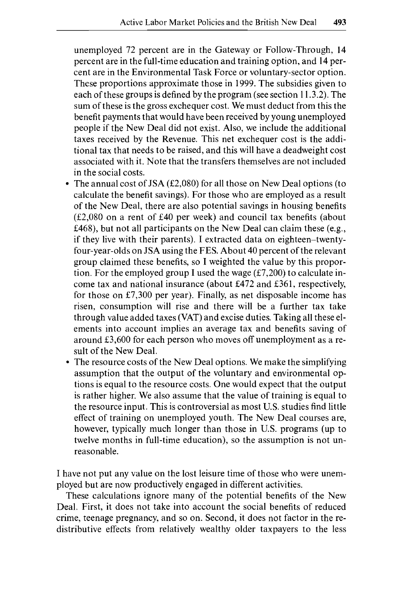unemployed 72 percent are in the Gateway or Follow-Through, 14 percent are in the full-time education and training option, and 14 percent are in the Environmental Task Force or voluntary-sector option. These proportions approximate those in 1999. The subsidies given to each of these groups is defined by the program (see section 1 1.3.2). The sum of these is the gross exchequer cost. We must deduct from this the benefit payments that would have been received by young unemployed people if the New Deal did not exist. Also, we include the additional taxes received by the Revenue. This net exchequer cost is the additional tax that needs to be raised, and this will have a deadweight cost associated with it. Note that the transfers themselves are not included in the social costs.

- The annual cost of JSA  $(E2,080)$  for all those on New Deal options (to calculate the benefit savings). For those who are employed as a result of the New Deal, there are also potential savings in housing benefits  $(f2,080)$  on a rent of  $f40$  per week) and council tax benefits (about &468), but not all participants on the New Deal can claim these (e.g., if they live with their parents). I extracted data on eighteen-twentyfour-year-olds on JSA using the FES. About 40 percent of the relevant group claimed these benefits, so I weighted the value by this proportion. For the employed group I used the wage  $(f7,200)$  to calculate income tax and national insurance (about E472 and E361, respectively, for those on  $£7,300$  per year). Finally, as net disposable income has risen, consumption will rise and there will be a further tax take through value added taxes (VAT) and excise duties. Taking all these elements into account implies an average tax and benefits saving of around E3,600 for each person who moves off unemployment as a result of the New Deal.
- The resource costs of the New Deal options. We make the simplifying assumption that the output of the voluntary and environmental options is equal to the resource costs. One would expect that the output is rather higher. We also assume that the value of training is equal to the resource input. This is controversial as most **U.S.** studies find little effect of training on unemployed youth. The New Deal courses are, however, typically much longer than those in **U.S.** programs (up to twelve months in full-time education), so the assumption is not unreasonable.

I have not put any value on the lost leisure time of those who were unemployed but are now productively engaged in different activities.

These calculations ignore many of the potential benefits of the New Deal. First, it does not take into account the social benefits of reduced crime, teenage pregnancy, and so on. Second, it does not factor in the redistributive effects from relatively wealthy older taxpayers to the less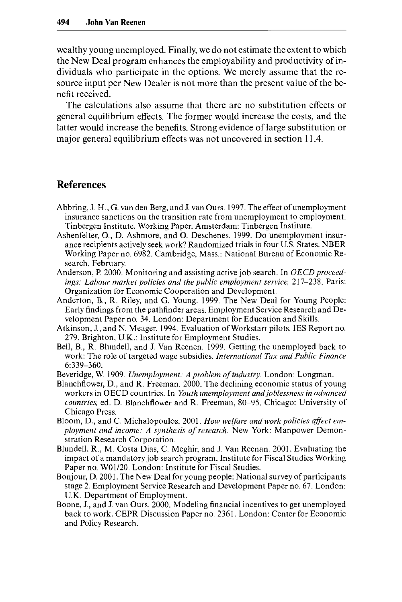wealthy young unemployed. Finally, we do not estimate the extent to which the New Deal program enhances the employability and productivity of individuals who participate in the options. We merely assume that the resource input per New Dealer is not more than the present value of the benefit received.

The calculations also assume that there are no substitution effects or general equilibrium effects. The former would increase the costs, and the latter would increase the benefits. Strong evidence of large substitution or major general equilibrium effects was not uncovered in section 11.4.

# **References**

- Abbring, J. **H.,** G. van den Berg, and **J.** van Ours. 1997. The effect ofunemployment insurance sanctions on the transition rate from unemployment to employment. Tinbergen Institute. Working Paper. Amsterdam: Tinbergen Institute.
- Ashenfelter, O., D. Ashmore, and 0. Deschenes. 1999. Do unemployment insurance recipients actively seek work? Randomized trials in four U.S. States. NBER Working Paper no. 6982. Cambridge, Mass.: National Bureau of Economic Research, February.
- Anderson, P. 2000. Monitoring and assisting active job search. In *OECD proceed*ings: Labour market policies and the public employment service, 217-238. Paris: Organization for Economic Cooperation and Development.
- Anderton, B., R. Riley, and G. Young. 1999. The New Deal for Young People: Early findings from the pathfinder areas. Employment Service Research and Development Paper no. 34. London: Department for Education and Skills.
- Atkinson, J., and N. Meager. 1994. Evaluation of Workstart pilots. IES Report no. 279. Brighton, U.K.: Institute for Employment Studies.
- Bell, B., R. Blundell, and J. Van Reenen. 1999. Getting the unemployed back to work: The role of targeted wage subsidies. *International Tax and Public Finance*  6:339-360.
- Beveridge, W. 1909. *Unemployment: A problem of industry.* London: Longman.
- Blanchflower, D., and R. Freeman. 2000. The declining economic status of young workers in OECD countries. In *Youth unemployment andjoblessness in advanced countries,* ed. D. Blanchflower and R. Freeman, 80-95. Chicago: University of Chicago Press.
- Bloom, D., and C. Michalopoulos. 2001. *How welfare and work policies affect employment and income: A synthesis of research.* New York: Manpower Demonstration Research Corporation.
- Blundell, R., M. Costa Dias, C. Meghir, and J. Van Reenan. 2001. Evaluating the impact of a mandatory job search program. Institute for Fiscal Studies Working Paper no. W01/20. London: Institute for Fiscal Studies.
- Bonjour, D. 2001. The New Deal for young people: National survey of participants stage *2.* Employment Service Research and Development Paper no. 67. London: U.K. Department of Employment.
- Boone, J., and J. van Ours. 2000. Modeling financial incentives to get unemployed back to work. CEPR Discussion Paper no. 2361. London: Center for Economic and Policy Research.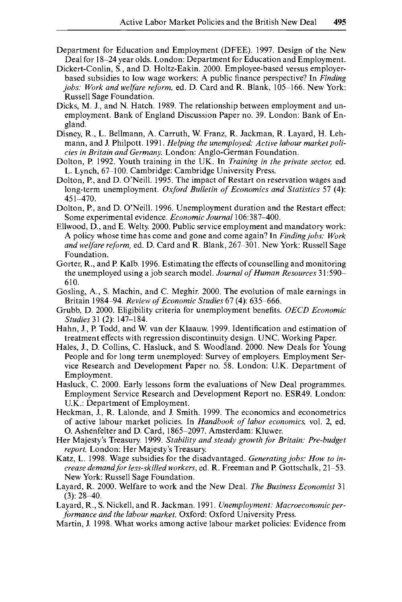- Department for Education and Employment (DFEE). 1997. Design of the New Deal for 18-24 year olds. London: Department for Education and Employment.
- Dickert-Conlin, S., and D. Holtz-Eakin. 2000. Employee-based versus employerbased subsidies to low wage workers: A public finance perspective? In *Finding jobs: Work and welfare reform,* ed. D. Card and R. Blank, 105-166. New York: Russell Sage Foundation.
- Dicks, **M. J.,** and N. Hatch. 1989. The relationship between employment and unemployment. Bank of England Discussion Paper no. 39. London: Bank of England.
- Disney, R., L. Bellmann, A. Carruth, W. Franz, R. Jackman, R. Layard, H. Lehmann, and J. Philpott. 1991. *Helping the unemployed: Active labour market policies in Britain and Germany.* London: Anglo-German Foundation.
- Dolton, P. 1992. Youth training in the UK. In *Training in the private sector,* ed. L. Lynch, 67-100. Cambridge: Cambridge University Press.
- Dolton, **P.,** and D. O'Neill. 1995. The impact of Restart on reservation wages and long-term unemployment. *Oxjord Bulletin of Economics and Statistics* 57 (4): 451-470.
- Dolton, P., and D. O'Neill. 1996. Unemployment duration and the Restart effect: Some experimental evidence. *Economic Journal* 106:387-400.
- Ellwood, D., and E. Welty. 2000. Public service employment and mandatory work: A policy whose time has come and gone and come again? In *Finding jobs: Work and welfare reform,* ed. D. Card and R. Blank, 267-301. New York: Russell Sage Foundation.
- Gorter, R., and P. Kalb. 1996. Estimating the effects of counselling and monitoring the unemployed using a job search model. *Journal of Human Resources* 31:590- 610.
- Gosling, A,, S. Machin, and C. Meghir. 2000. The evolution of male earnings in Britain 1984-94. *Review of Economic Studies* 67 (4): 635-666.
- Grubb, D. 2000. Eligibility criteria for unemployment benefits. *OECD Economic Studies* 31 **(2):** 147-184.
- Hahn, J., P. Todd, and W. van der Klaauw. 1999. Identification and estimation of treatment effects with regression discontinuity design. UNC. Working Paper.
- Hales, J., D. Collins, C. Hasluck, and S. Woodland. 2000. New Deals for Young People and for long term unemployed: Survey of employers. Employment Service Research and Development Paper no. 58. London: U.K. Department of Employment.
- Hasluck, C. 2000. Early lessons form the evaluations of New Deal programmes. Employment Service Research and Development Report no. ESR49. London: U.K.: Department of Employment.
- Heckman, J., R. Lalonde, and J. Smith. 1999. The economics and econometrics of active labour market policies. In *Handbook of labor economics,* vol. 2, ed. 0. Ashenfelter and D. Card, 1865-2097. Amsterdam: Kluwer.
- Her Majesty's Treasury. 1999. *Stability and steady growth for Britain: Pre-budget report.* London: Her Majesty's Treasury.
- Katz, L. 1998. Wage subsidies for the disadvantaged. *Generating jobs: How to increase demandfor less-skilled workers,* ed. R. Freeman and P. Gottschalk, 21-53. New York: Russell Sage Foundation.
- Layard, R. 2000. Welfare to work and the New Deal. *The Business Economist* 31  $(3): 28 - 40.$
- Layard, R., S. Nickell, and R. Jackman. 1991. *Unemployment: Macroeconomic perforrnance and the labour market.* Oxford: Oxford University Press.
- Martin, J. 1998. What works among active labour market policies: Evidence from